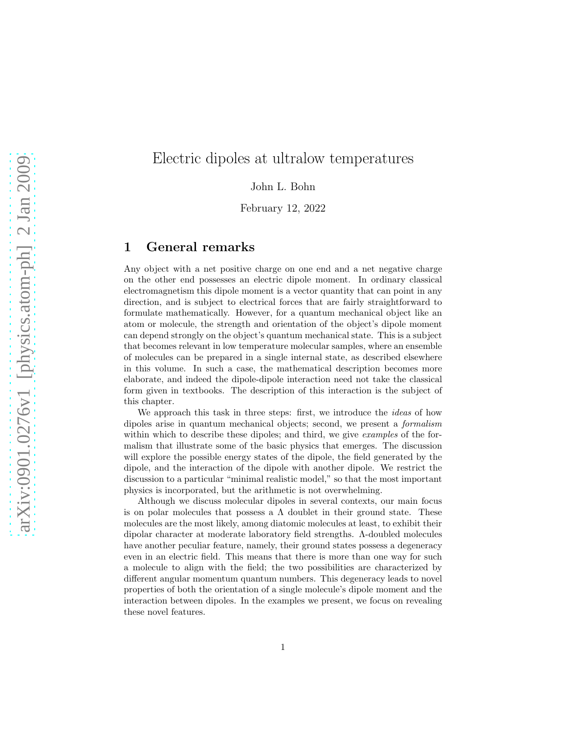# Electric dipoles at ultralow temperatures

John L. Bohn

February 12, 2022

### 1 General remarks

Any object with a net positive charge on one end and a net negative charge on the other end possesses an electric dipole moment. In ordinary classical electromagnetism this dipole moment is a vector quantity that can point in any direction, and is subject to electrical forces that are fairly straightforward to formulate mathematically. However, for a quantum mechanical object like an atom or molecule, the strength and orientation of the object's dipole moment can depend strongly on the object's quantum mechanical state. This is a subject that becomes relevant in low temperature molecular samples, where an ensemble of molecules can be prepared in a single internal state, as described elsewhere in this volume. In such a case, the mathematical description becomes more elaborate, and indeed the dipole-dipole interaction need not take the classical form given in textbooks. The description of this interaction is the subject of this chapter.

We approach this task in three steps: first, we introduce the *ideas* of how dipoles arise in quantum mechanical objects; second, we present a formalism within which to describe these dipoles; and third, we give *examples* of the formalism that illustrate some of the basic physics that emerges. The discussion will explore the possible energy states of the dipole, the field generated by the dipole, and the interaction of the dipole with another dipole. We restrict the discussion to a particular "minimal realistic model," so that the most important physics is incorporated, but the arithmetic is not overwhelming.

Although we discuss molecular dipoles in several contexts, our main focus is on polar molecules that possess a  $\Lambda$  doublet in their ground state. These molecules are the most likely, among diatomic molecules at least, to exhibit their dipolar character at moderate laboratory field strengths. Λ-doubled molecules have another peculiar feature, namely, their ground states possess a degeneracy even in an electric field. This means that there is more than one way for such a molecule to align with the field; the two possibilities are characterized by different angular momentum quantum numbers. This degeneracy leads to novel properties of both the orientation of a single molecule's dipole moment and the interaction between dipoles. In the examples we present, we focus on revealing these novel features.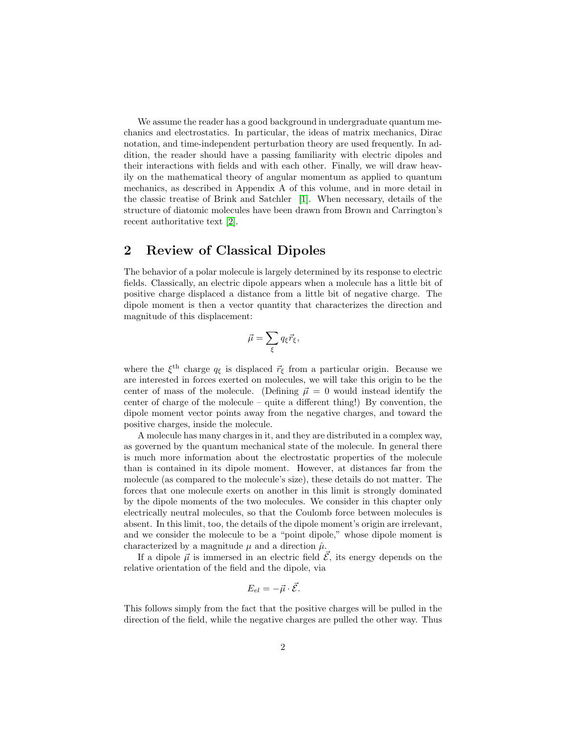We assume the reader has a good background in undergraduate quantum mechanics and electrostatics. In particular, the ideas of matrix mechanics, Dirac notation, and time-independent perturbation theory are used frequently. In addition, the reader should have a passing familiarity with electric dipoles and their interactions with fields and with each other. Finally, we will draw heavily on the mathematical theory of angular momentum as applied to quantum mechanics, as described in Appendix A of this volume, and in more detail in the classic treatise of Brink and Satchler [\[1\]](#page-29-0). When necessary, details of the structure of diatomic molecules have been drawn from Brown and Carrington's recent authoritative text [\[2\]](#page-29-1).

# 2 Review of Classical Dipoles

The behavior of a polar molecule is largely determined by its response to electric fields. Classically, an electric dipole appears when a molecule has a little bit of positive charge displaced a distance from a little bit of negative charge. The dipole moment is then a vector quantity that characterizes the direction and magnitude of this displacement:

$$
\vec{\mu} = \sum_{\xi} q_{\xi} \vec{r}_{\xi},
$$

where the  $\xi^{\text{th}}$  charge  $q_{\xi}$  is displaced  $\vec{r}_{\xi}$  from a particular origin. Because we are interested in forces exerted on molecules, we will take this origin to be the center of mass of the molecule. (Defining  $\vec{\mu} = 0$  would instead identify the center of charge of the molecule – quite a different thing!) By convention, the dipole moment vector points away from the negative charges, and toward the positive charges, inside the molecule.

A molecule has many charges in it, and they are distributed in a complex way, as governed by the quantum mechanical state of the molecule. In general there is much more information about the electrostatic properties of the molecule than is contained in its dipole moment. However, at distances far from the molecule (as compared to the molecule's size), these details do not matter. The forces that one molecule exerts on another in this limit is strongly dominated by the dipole moments of the two molecules. We consider in this chapter only electrically neutral molecules, so that the Coulomb force between molecules is absent. In this limit, too, the details of the dipole moment's origin are irrelevant, and we consider the molecule to be a "point dipole," whose dipole moment is characterized by a magnitude  $\mu$  and a direction  $\hat{\mu}$ .

If a dipole  $\vec{\mu}$  is immersed in an electric field  $\vec{\mathcal{E}}$ , its energy depends on the relative orientation of the field and the dipole, via

$$
E_{el}=-\vec{\mu}\cdot\vec{\mathcal{E}}.
$$

This follows simply from the fact that the positive charges will be pulled in the direction of the field, while the negative charges are pulled the other way. Thus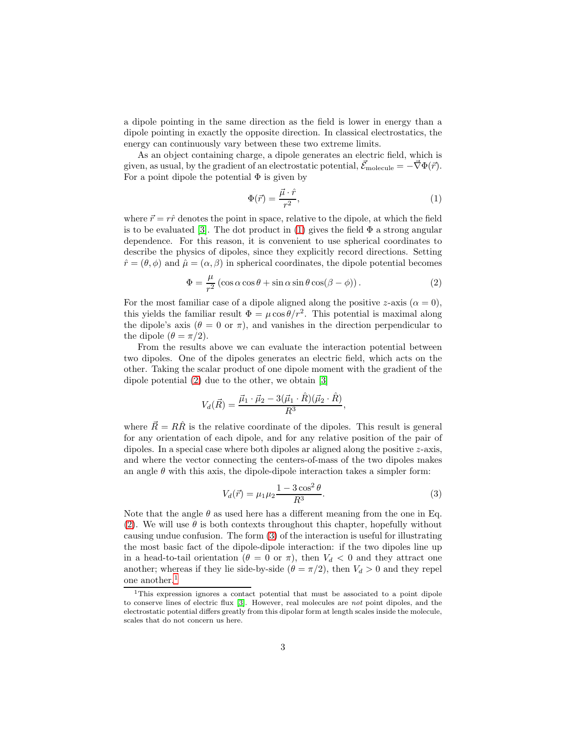a dipole pointing in the same direction as the field is lower in energy than a dipole pointing in exactly the opposite direction. In classical electrostatics, the energy can continuously vary between these two extreme limits.

As an object containing charge, a dipole generates an electric field, which is given, as usual, by the gradient of an electrostatic potential,  $\vec{\mathcal{E}}_{\text{molecule}} = -\vec{\nabla}\Phi(\vec{r})$ . For a point dipole the potential  $\Phi$  is given by

<span id="page-2-0"></span>
$$
\Phi(\vec{r}) = \frac{\vec{\mu} \cdot \hat{r}}{r^2},\tag{1}
$$

where  $\vec{r} = r\hat{r}$  denotes the point in space, relative to the dipole, at which the field is to be evaluated [\[3\]](#page-29-2). The dot product in [\(1\)](#page-2-0) gives the field  $\Phi$  a strong angular dependence. For this reason, it is convenient to use spherical coordinates to describe the physics of dipoles, since they explicitly record directions. Setting  $\hat{r} = (\theta, \phi)$  and  $\hat{\mu} = (\alpha, \beta)$  in spherical coordinates, the dipole potential becomes

<span id="page-2-1"></span>
$$
\Phi = \frac{\mu}{r^2} \left( \cos \alpha \cos \theta + \sin \alpha \sin \theta \cos(\beta - \phi) \right). \tag{2}
$$

For the most familiar case of a dipole aligned along the positive z-axis  $(\alpha = 0)$ , this yields the familiar result  $\Phi = \mu \cos \theta / r^2$ . This potential is maximal along the dipole's axis ( $\theta = 0$  or  $\pi$ ), and vanishes in the direction perpendicular to the dipole  $(\theta = \pi/2)$ .

From the results above we can evaluate the interaction potential between two dipoles. One of the dipoles generates an electric field, which acts on the other. Taking the scalar product of one dipole moment with the gradient of the dipole potential [\(2\)](#page-2-1) due to the other, we obtain [\[3\]](#page-29-2)

$$
V_d(\vec{R}) = \frac{\vec{\mu}_1 \cdot \vec{\mu}_2 - 3(\vec{\mu}_1 \cdot \hat{R})(\vec{\mu}_2 \cdot \hat{R})}{R^3},
$$

where  $\vec{R} = R\hat{R}$  is the relative coordinate of the dipoles. This result is general for any orientation of each dipole, and for any relative position of the pair of dipoles. In a special case where both dipoles ar aligned along the positive  $z$ -axis, and where the vector connecting the centers-of-mass of the two dipoles makes an angle  $\theta$  with this axis, the dipole-dipole interaction takes a simpler form:

<span id="page-2-2"></span>
$$
V_d(\vec{r}) = \mu_1 \mu_2 \frac{1 - 3\cos^2 \theta}{R^3}.
$$
\n(3)

Note that the angle  $\theta$  as used here has a different meaning from the one in Eq. [\(2\)](#page-2-1). We will use  $\theta$  is both contexts throughout this chapter, hopefully without causing undue confusion. The form [\(3\)](#page-2-2) of the interaction is useful for illustrating the most basic fact of the dipole-dipole interaction: if the two dipoles line up in a head-to-tail orientation ( $\theta = 0$  or  $\pi$ ), then  $V_d < 0$  and they attract one another; whereas if they lie side-by-side ( $\theta = \pi/2$ ), then  $V_d > 0$  and they repel one another.[1](#page-2-3)

<span id="page-2-3"></span><sup>&</sup>lt;sup>1</sup>This expression ignores a contact potential that must be associated to a point dipole to conserve lines of electric flux [\[3\]](#page-29-2). However, real molecules are not point dipoles, and the electrostatic potential differs greatly from this dipolar form at length scales inside the molecule, scales that do not concern us here.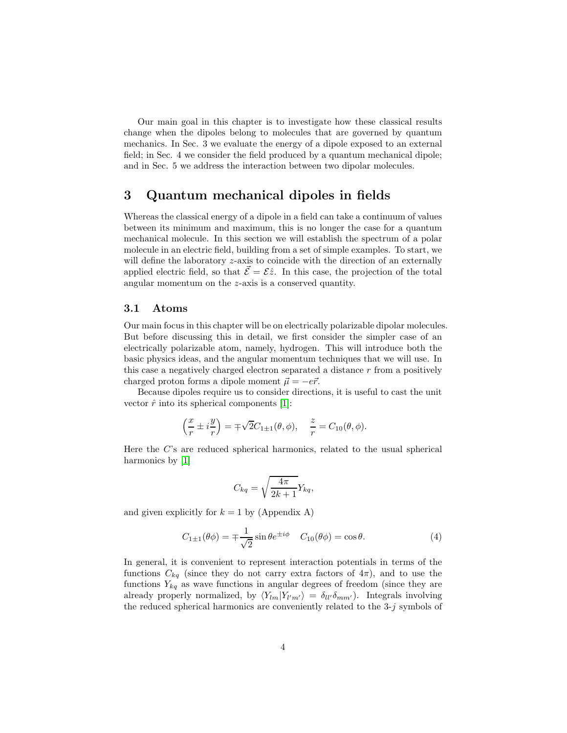Our main goal in this chapter is to investigate how these classical results change when the dipoles belong to molecules that are governed by quantum mechanics. In Sec. 3 we evaluate the energy of a dipole exposed to an external field; in Sec. 4 we consider the field produced by a quantum mechanical dipole; and in Sec. 5 we address the interaction between two dipolar molecules.

# 3 Quantum mechanical dipoles in fields

Whereas the classical energy of a dipole in a field can take a continuum of values between its minimum and maximum, this is no longer the case for a quantum mechanical molecule. In this section we will establish the spectrum of a polar molecule in an electric field, building from a set of simple examples. To start, we will define the laboratory *z*-axis to coincide with the direction of an externally applied electric field, so that  $\vec{\mathcal{E}} = \mathcal{E}\hat{z}$ . In this case, the projection of the total angular momentum on the z-axis is a conserved quantity.

#### 3.1 Atoms

Our main focus in this chapter will be on electrically polarizable dipolar molecules. But before discussing this in detail, we first consider the simpler case of an electrically polarizable atom, namely, hydrogen. This will introduce both the basic physics ideas, and the angular momentum techniques that we will use. In this case a negatively charged electron separated a distance  $r$  from a positively charged proton forms a dipole moment  $\vec{\mu} = -e\vec{r}$ .

Because dipoles require us to consider directions, it is useful to cast the unit vector  $\hat{r}$  into its spherical components [\[1\]](#page-29-0):

$$
\left(\frac{x}{r} \pm i\frac{y}{r}\right) = \pm \sqrt{2}C_{1\pm 1}(\theta, \phi), \quad \frac{z}{r} = C_{10}(\theta, \phi).
$$

Here the C's are reduced spherical harmonics, related to the usual spherical harmonics by [\[1\]](#page-29-0)

$$
C_{kq} = \sqrt{\frac{4\pi}{2k+1}} Y_{kq},
$$

and given explicitly for  $k = 1$  by (Appendix A)

<span id="page-3-0"></span>
$$
C_{1\pm 1}(\theta \phi) = \mp \frac{1}{\sqrt{2}} \sin \theta e^{\pm i\phi} \quad C_{10}(\theta \phi) = \cos \theta. \tag{4}
$$

In general, it is convenient to represent interaction potentials in terms of the functions  $C_{kq}$  (since they do not carry extra factors of  $4\pi$ ), and to use the functions  $Y_{kq}$  as wave functions in angular degrees of freedom (since they are already properly normalized, by  $\langle Y_{lm}|Y_{l'm'}\rangle = \delta_{ll'}\delta_{mm'}$ ). Integrals involving the reduced spherical harmonics are conveniently related to the  $3-j$  symbols of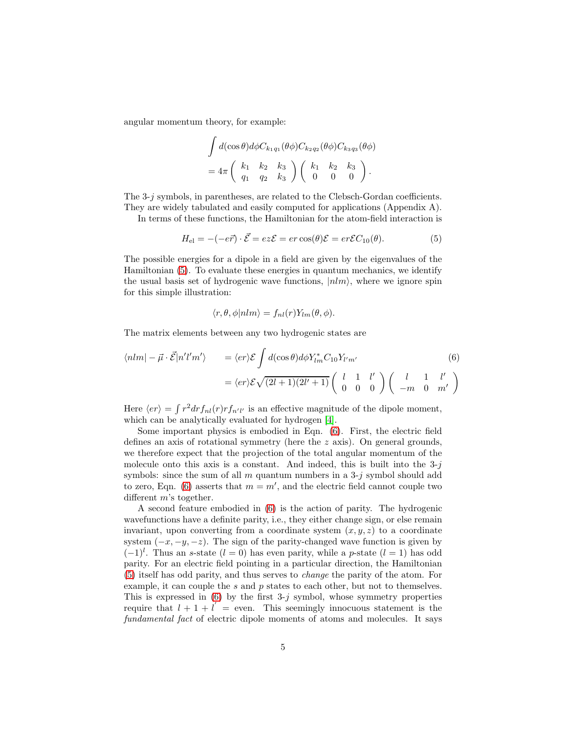angular momentum theory, for example:

$$
\int d(\cos \theta) d\phi C_{k_1 q_1}(\theta \phi) C_{k_2 q_2}(\theta \phi) C_{k_3 q_3}(\theta \phi)
$$
  
=  $4\pi \begin{pmatrix} k_1 & k_2 & k_3 \\ q_1 & q_2 & k_3 \end{pmatrix} \begin{pmatrix} k_1 & k_2 & k_3 \\ 0 & 0 & 0 \end{pmatrix}.$ 

The 3-j symbols, in parentheses, are related to the Clebsch-Gordan coefficients. They are widely tabulated and easily computed for applications (Appendix A).

In terms of these functions, the Hamiltonian for the atom-field interaction is

<span id="page-4-0"></span>
$$
H_{\rm el} = -(-e\vec{r}) \cdot \vec{\mathcal{E}} = ez\mathcal{E} = er\cos(\theta)\mathcal{E} = er\mathcal{E}C_{10}(\theta). \tag{5}
$$

The possible energies for a dipole in a field are given by the eigenvalues of the Hamiltonian [\(5\)](#page-4-0). To evaluate these energies in quantum mechanics, we identify the usual basis set of hydrogenic wave functions,  $|nlm\rangle$ , where we ignore spin for this simple illustration:

$$
\langle r, \theta, \phi | n l m \rangle = f_{nl}(r) Y_{lm}(\theta, \phi).
$$

The matrix elements between any two hydrogenic states are

<span id="page-4-1"></span>
$$
\langle nlm| - \vec{\mu} \cdot \vec{\mathcal{E}} |n'l'm'\rangle = \langle er \rangle \mathcal{E} \int d(\cos\theta) d\phi Y_{lm}^* C_{10} Y_{l'm'} \tag{6}
$$

$$
= \langle er \rangle \mathcal{E} \sqrt{(2l+1)(2l'+1)} \begin{pmatrix} l & 1 & l' \\ 0 & 0 & 0 \end{pmatrix} \begin{pmatrix} l & 1 & l' \\ -m & 0 & m' \end{pmatrix}
$$

Here  $\langle er \rangle = \int r^2 dr f_{nl}(r) r f_{n'l'}$  is an effective magnitude of the dipole moment, which can be analytically evaluated for hydrogen [\[4\]](#page-29-3).

Some important physics is embodied in Eqn. [\(6\)](#page-4-1). First, the electric field defines an axis of rotational symmetry (here the  $z$  axis). On general grounds, we therefore expect that the projection of the total angular momentum of the molecule onto this axis is a constant. And indeed, this is built into the  $3-j$ symbols: since the sum of all m quantum numbers in a  $3-i$  symbol should add to zero, Eqn. [\(6\)](#page-4-1) asserts that  $m = m'$ , and the electric field cannot couple two different m's together.

A second feature embodied in [\(6\)](#page-4-1) is the action of parity. The hydrogenic wavefunctions have a definite parity, i.e., they either change sign, or else remain invariant, upon converting from a coordinate system  $(x, y, z)$  to a coordinate system  $(-x, -y, -z)$ . The sign of the parity-changed wave function is given by  $(-1)^l$ . Thus an s-state  $(l = 0)$  has even parity, while a p-state  $(l = 1)$  has odd parity. For an electric field pointing in a particular direction, the Hamiltonian [\(5\)](#page-4-0) itself has odd parity, and thus serves to change the parity of the atom. For example, it can couple the  $s$  and  $p$  states to each other, but not to themselves. This is expressed in  $(6)$  by the first 3-j symbol, whose symmetry properties require that  $l + 1 + l'$  = even. This seemingly innocuous statement is the fundamental fact of electric dipole moments of atoms and molecules. It says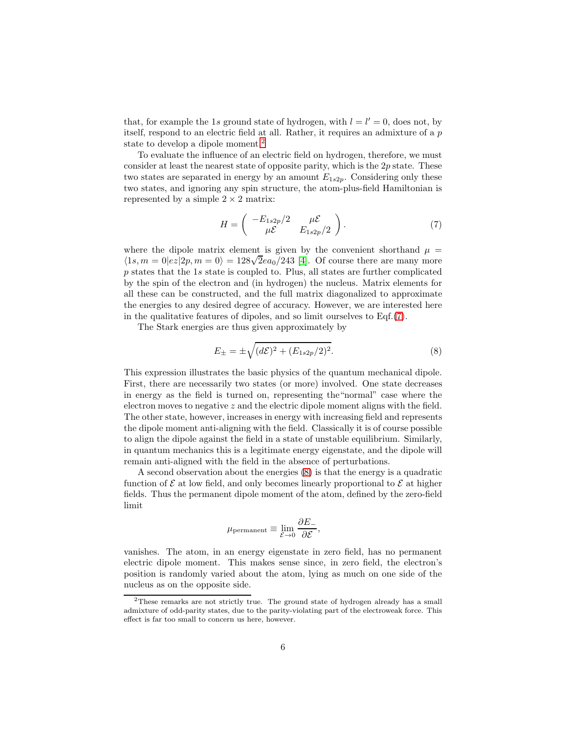that, for example the 1s ground state of hydrogen, with  $l = l' = 0$ , does not, by itself, respond to an electric field at all. Rather, it requires an admixture of a p state to develop a dipole moment.<sup>[2](#page-5-0)</sup>

To evaluate the influence of an electric field on hydrogen, therefore, we must consider at least the nearest state of opposite parity, which is the  $2p$  state. These two states are separated in energy by an amount  $E_{1s2p}$ . Considering only these two states, and ignoring any spin structure, the atom-plus-field Hamiltonian is represented by a simple  $2 \times 2$  matrix:

<span id="page-5-1"></span>
$$
H = \begin{pmatrix} -E_{1s2p}/2 & \mu \mathcal{E} \\ \mu \mathcal{E} & E_{1s2p}/2 \end{pmatrix} . \tag{7}
$$

where the dipole matrix element is given by the convenient shorthand  $\mu =$  $\langle 1s, m = 0 | e z | 2p, m = 0 \rangle = 128\sqrt{2}ea_0/243$  [\[4\]](#page-29-3). Of course there are many more p states that the 1s state is coupled to. Plus, all states are further complicated by the spin of the electron and (in hydrogen) the nucleus. Matrix elements for all these can be constructed, and the full matrix diagonalized to approximate the energies to any desired degree of accuracy. However, we are interested here in the qualitative features of dipoles, and so limit ourselves to Eqf.[\(7\)](#page-5-1).

The Stark energies are thus given approximately by

<span id="page-5-2"></span>
$$
E_{\pm} = \pm \sqrt{(d\mathcal{E})^2 + (E_{1s2p}/2)^2}.
$$
 (8)

This expression illustrates the basic physics of the quantum mechanical dipole. First, there are necessarily two states (or more) involved. One state decreases in energy as the field is turned on, representing the"normal" case where the electron moves to negative  $z$  and the electric dipole moment aligns with the field. The other state, however, increases in energy with increasing field and represents the dipole moment anti-aligning with the field. Classically it is of course possible to align the dipole against the field in a state of unstable equilibrium. Similarly, in quantum mechanics this is a legitimate energy eigenstate, and the dipole will remain anti-aligned with the field in the absence of perturbations.

A second observation about the energies [\(8\)](#page-5-2) is that the energy is a quadratic function of  $\mathcal E$  at low field, and only becomes linearly proportional to  $\mathcal E$  at higher fields. Thus the permanent dipole moment of the atom, defined by the zero-field limit

$$
\mu_{\text{permanent}} \equiv \lim_{\mathcal{E} \to 0} \frac{\partial E_{-}}{\partial \mathcal{E}},
$$

vanishes. The atom, in an energy eigenstate in zero field, has no permanent electric dipole moment. This makes sense since, in zero field, the electron's position is randomly varied about the atom, lying as much on one side of the nucleus as on the opposite side.

<span id="page-5-0"></span><sup>&</sup>lt;sup>2</sup>These remarks are not strictly true. The ground state of hydrogen already has a small admixture of odd-parity states, due to the parity-violating part of the electroweak force. This effect is far too small to concern us here, however.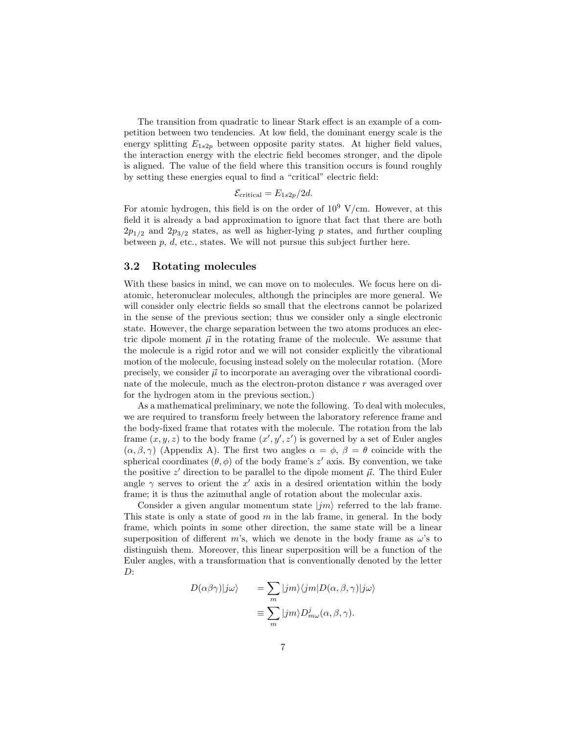The transition from quadratic to linear Stark effect is an example of a competition between two tendencies. At low field, the dominant energy scale is the energy splitting  $E_{1s2p}$  between opposite parity states. At higher field values, the interaction energy with the electric field becomes stronger, and the dipole is aligned. The value of the field where this transition occurs is found roughly by setting these energies equal to find a "critical" electric field:

$$
\mathcal{E}_{\text{critical}} = E_{1s2p}/2d.
$$

For atomic hydrogen, this field is on the order of  $10^9$  V/cm. However, at this field it is already a bad approximation to ignore that fact that there are both  $2p_{1/2}$  and  $2p_{3/2}$  states, as well as higher-lying p states, and further coupling between  $p, d$ , etc., states. We will not pursue this subject further here.

#### 3.2 Rotating molecules

With these basics in mind, we can move on to molecules. We focus here on diatomic, heteronuclear molecules, although the principles are more general. We will consider only electric fields so small that the electrons cannot be polarized in the sense of the previous section; thus we consider only a single electronic state. However, the charge separation between the two atoms produces an electric dipole moment  $\vec{\mu}$  in the rotating frame of the molecule. We assume that the molecule is a rigid rotor and we will not consider explicitly the vibrational motion of the molecule, focusing instead solely on the molecular rotation. (More precisely, we consider  $\vec{\mu}$  to incorporate an averaging over the vibrational coordinate of the molecule, much as the electron-proton distance r was averaged over for the hydrogen atom in the previous section.)

As a mathematical preliminary, we note the following. To deal with molecules, we are required to transform freely between the laboratory reference frame and the body-fixed frame that rotates with the molecule. The rotation from the lab frame  $(x, y, z)$  to the body frame  $(x', y', z')$  is governed by a set of Euler angles  $(\alpha, \beta, \gamma)$  (Appendix A). The first two angles  $\alpha = \phi$ ,  $\beta = \theta$  coincide with the spherical coordinates  $(\theta, \phi)$  of the body frame's z' axis. By convention, we take the positive  $z'$  direction to be parallel to the dipole moment  $\vec{\mu}$ . The third Euler angle  $\gamma$  serves to orient the x' axis in a desired orientation within the body frame; it is thus the azimuthal angle of rotation about the molecular axis.

Consider a given angular momentum state  $|*im*⟩$  referred to the lab frame. This state is only a state of good  $m$  in the lab frame, in general. In the body frame, which points in some other direction, the same state will be a linear superposition of different m's, which we denote in the body frame as  $\omega$ 's to distinguish them. Moreover, this linear superposition will be a function of the Euler angles, with a transformation that is conventionally denoted by the letter  $D$ :

$$
D(\alpha \beta \gamma)|j\omega\rangle = \sum_{m} |jm\rangle\langle jm|D(\alpha, \beta, \gamma)|j\omega\rangle
$$

$$
\equiv \sum_{m} |jm\rangle D^{j}_{m\omega}(\alpha, \beta, \gamma).
$$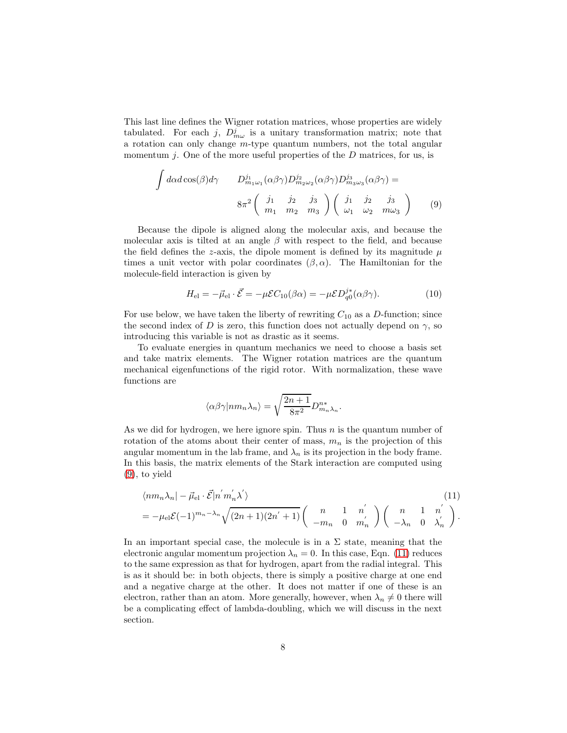This last line defines the Wigner rotation matrices, whose properties are widely tabulated. For each j,  $D_{m\omega}^{j}$  is a unitary transformation matrix; note that a rotation can only change m-type quantum numbers, not the total angular momentum j. One of the more useful properties of the  $D$  matrices, for us, is

<span id="page-7-0"></span>
$$
\int d\alpha d\cos(\beta)d\gamma \qquad D_{m_1\omega_1}^{j_1}(\alpha\beta\gamma)D_{m_2\omega_2}^{j_2}(\alpha\beta\gamma)D_{m_3\omega_3}^{j_3}(\alpha\beta\gamma) =
$$

$$
8\pi^2 \left(\begin{array}{ccc} j_1 & j_2 & j_3 \\ m_1 & m_2 & m_3 \end{array}\right) \left(\begin{array}{ccc} j_1 & j_2 & j_3 \\ \omega_1 & \omega_2 & m\omega_3 \end{array}\right) \qquad (9)
$$

Because the dipole is aligned along the molecular axis, and because the molecular axis is tilted at an angle  $\beta$  with respect to the field, and because the field defines the z-axis, the dipole moment is defined by its magnitude  $\mu$ times a unit vector with polar coordinates  $(\beta, \alpha)$ . The Hamiltonian for the molecule-field interaction is given by

<span id="page-7-2"></span>
$$
H_{\rm el} = -\vec{\mu}_{\rm el} \cdot \vec{\mathcal{E}} = -\mu \mathcal{E} C_{10}(\beta \alpha) = -\mu \mathcal{E} D_{q0}^{j*}(\alpha \beta \gamma). \tag{10}
$$

For use below, we have taken the liberty of rewriting  $C_{10}$  as a D-function; since the second index of D is zero, this function does not actually depend on  $\gamma$ , so introducing this variable is not as drastic as it seems.

To evaluate energies in quantum mechanics we need to choose a basis set and take matrix elements. The Wigner rotation matrices are the quantum mechanical eigenfunctions of the rigid rotor. With normalization, these wave functions are

$$
\langle \alpha \beta \gamma | nm_n \lambda_n \rangle = \sqrt{\frac{2n+1}{8\pi^2}} D_{m_n \lambda_n}^{n*}.
$$

As we did for hydrogen, we here ignore spin. Thus  $n$  is the quantum number of rotation of the atoms about their center of mass,  $m_n$  is the projection of this angular momentum in the lab frame, and  $\lambda_n$  is its projection in the body frame. In this basis, the matrix elements of the Stark interaction are computed using [\(9\)](#page-7-0), to yield

<span id="page-7-1"></span>
$$
\langle nm_n \lambda_n | - \vec{\mu}_{\text{el}} \cdot \vec{\mathcal{E}} | n' m'_n \lambda' \rangle \tag{11}
$$
\n
$$
= -\mu_{\text{el}} \mathcal{E}(-1)^{m_n - \lambda_n} \sqrt{(2n+1)(2n'+1)} \begin{pmatrix} n & 1 & n' \\ -m_n & 0 & m'_n \end{pmatrix} \begin{pmatrix} n & 1 & n' \\ -\lambda_n & 0 & \lambda'_n \end{pmatrix}.
$$

In an important special case, the molecule is in a  $\Sigma$  state, meaning that the electronic angular momentum projection  $\lambda_n = 0$ . In this case, Eqn. [\(11\)](#page-7-1) reduces to the same expression as that for hydrogen, apart from the radial integral. This is as it should be: in both objects, there is simply a positive charge at one end and a negative charge at the other. It does not matter if one of these is an electron, rather than an atom. More generally, however, when  $\lambda_n \neq 0$  there will be a complicating effect of lambda-doubling, which we will discuss in the next section.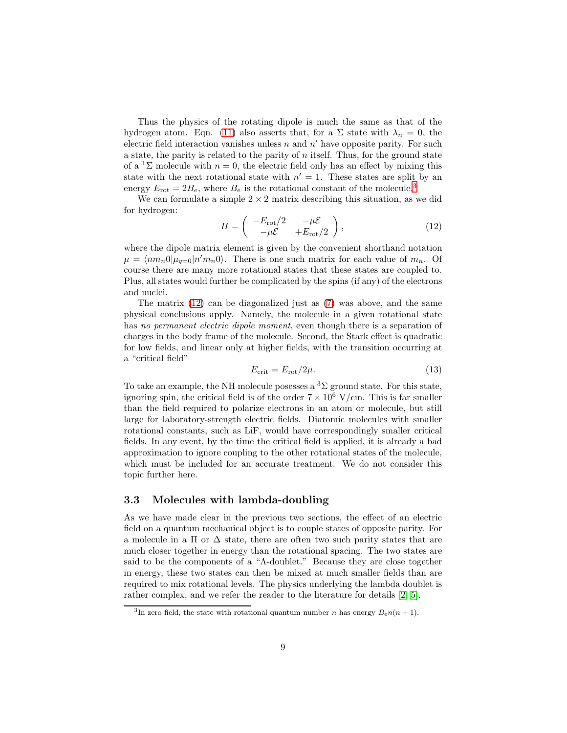Thus the physics of the rotating dipole is much the same as that of the hydrogen atom. Eqn. [\(11\)](#page-7-1) also asserts that, for a  $\Sigma$  state with  $\lambda_n = 0$ , the electric field interaction vanishes unless  $n$  and  $n'$  have opposite parity. For such a state, the parity is related to the parity of  $n$  itself. Thus, for the ground state of a <sup>1</sup> $\Sigma$  molecule with  $n = 0$ , the electric field only has an effect by mixing this state with the next rotational state with  $n' = 1$ . These states are split by an energy  $E_{\text{rot}} = 2B_e$ , where  $B_e$  is the rotational constant of the molecule.<sup>[3](#page-8-0)</sup>

We can formulate a simple  $2 \times 2$  matrix describing this situation, as we did for hydrogen:

<span id="page-8-1"></span>
$$
H = \begin{pmatrix} -E_{\text{rot}}/2 & -\mu \mathcal{E} \\ -\mu \mathcal{E} & +E_{\text{rot}}/2 \end{pmatrix},
$$
(12)

where the dipole matrix element is given by the convenient shorthand notation  $\mu = \langle nm_n 0 | \mu_{q=0} | n' m_n 0 \rangle$ . There is one such matrix for each value of  $m_n$ . Of course there are many more rotational states that these states are coupled to. Plus, all states would further be complicated by the spins (if any) of the electrons and nuclei.

The matrix [\(12\)](#page-8-1) can be diagonalized just as [\(7\)](#page-5-1) was above, and the same physical conclusions apply. Namely, the molecule in a given rotational state has no permanent electric dipole moment, even though there is a separation of charges in the body frame of the molecule. Second, the Stark effect is quadratic for low fields, and linear only at higher fields, with the transition occurring at a "critical field"

$$
E_{\rm crit} = E_{\rm rot}/2\mu. \tag{13}
$$

To take an example, the NH molecule posesses a  ${}^{3}\Sigma$  ground state. For this state, ignoring spin, the critical field is of the order  $7 \times 10^6$  V/cm. This is far smaller than the field required to polarize electrons in an atom or molecule, but still large for laboratory-strength electric fields. Diatomic molecules with smaller rotational constants, such as LiF, would have correspondingly smaller critical fields. In any event, by the time the critical field is applied, it is already a bad approximation to ignore coupling to the other rotational states of the molecule, which must be included for an accurate treatment. We do not consider this topic further here.

#### 3.3 Molecules with lambda-doubling

As we have made clear in the previous two sections, the effect of an electric field on a quantum mechanical object is to couple states of opposite parity. For a molecule in a  $\Pi$  or  $\Delta$  state, there are often two such parity states that are much closer together in energy than the rotational spacing. The two states are said to be the components of a "Λ-doublet." Because they are close together in energy, these two states can then be mixed at much smaller fields than are required to mix rotational levels. The physics underlying the lambda doublet is rather complex, and we refer the reader to the literature for details [\[2,](#page-29-1) [5\]](#page-29-4).

<span id="page-8-0"></span><sup>&</sup>lt;sup>3</sup>In zero field, the state with rotational quantum number *n* has energy  $B_{\epsilon}n(n+1)$ .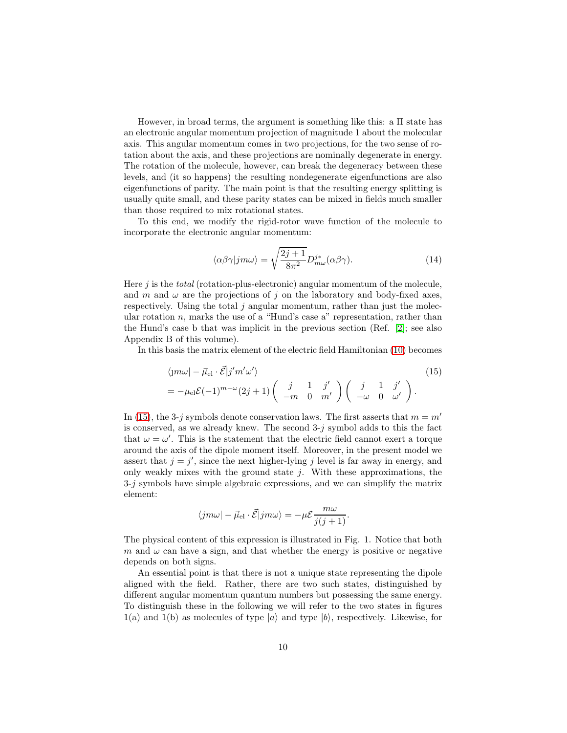However, in broad terms, the argument is something like this: a Π state has an electronic angular momentum projection of magnitude 1 about the molecular axis. This angular momentum comes in two projections, for the two sense of rotation about the axis, and these projections are nominally degenerate in energy. The rotation of the molecule, however, can break the degeneracy between these levels, and (it so happens) the resulting nondegenerate eigenfunctions are also eigenfunctions of parity. The main point is that the resulting energy splitting is usually quite small, and these parity states can be mixed in fields much smaller than those required to mix rotational states.

To this end, we modify the rigid-rotor wave function of the molecule to incorporate the electronic angular momentum:

<span id="page-9-1"></span>
$$
\langle \alpha \beta \gamma | j m \omega \rangle = \sqrt{\frac{2j+1}{8\pi^2}} D_{m\omega}^{j*} (\alpha \beta \gamma). \tag{14}
$$

Here  $j$  is the *total* (rotation-plus-electronic) angular momentum of the molecule, and m and  $\omega$  are the projections of j on the laboratory and body-fixed axes, respectively. Using the total  $j$  angular momentum, rather than just the molecular rotation  $n$ , marks the use of a "Hund's case a" representation, rather than the Hund's case b that was implicit in the previous section (Ref. [\[2\]](#page-29-1); see also Appendix B of this volume).

In this basis the matrix element of the electric field Hamiltonian [\(10\)](#page-7-2) becomes

<span id="page-9-0"></span>
$$
\langle jm\omega | - \vec{\mu}_{\rm el} \cdot \vec{\mathcal{E}} | j'm'\omega' \rangle
$$
  
=  $-\mu_{\rm el} \mathcal{E}(-1)^{m-\omega} (2j+1) \begin{pmatrix} j & 1 & j' \\ -m & 0 & m' \end{pmatrix} \begin{pmatrix} j & 1 & j' \\ -\omega & 0 & \omega' \end{pmatrix}.$  (15)

In [\(15\)](#page-9-0), the 3-j symbols denote conservation laws. The first asserts that  $m = m'$ is conserved, as we already knew. The second  $3-j$  symbol adds to this the fact that  $\omega = \omega'$ . This is the statement that the electric field cannot exert a torque around the axis of the dipole moment itself. Moreover, in the present model we assert that  $j = j'$ , since the next higher-lying j level is far away in energy, and only weakly mixes with the ground state  $j$ . With these approximations, the  $3-j$  symbols have simple algebraic expressions, and we can simplify the matrix element:

$$
\langle jm\omega | - \vec{\mu}_{\rm el} \cdot \vec{\mathcal{E}} | jm\omega \rangle = -\mu \mathcal{E} \frac{m\omega}{j(j+1)}.
$$

The physical content of this expression is illustrated in Fig. 1. Notice that both m and  $\omega$  can have a sign, and that whether the energy is positive or negative depends on both signs.

An essential point is that there is not a unique state representing the dipole aligned with the field. Rather, there are two such states, distinguished by different angular momentum quantum numbers but possessing the same energy. To distinguish these in the following we will refer to the two states in figures  $1(a)$  and  $1(b)$  as molecules of type  $|a\rangle$  and type  $|b\rangle$ , respectively. Likewise, for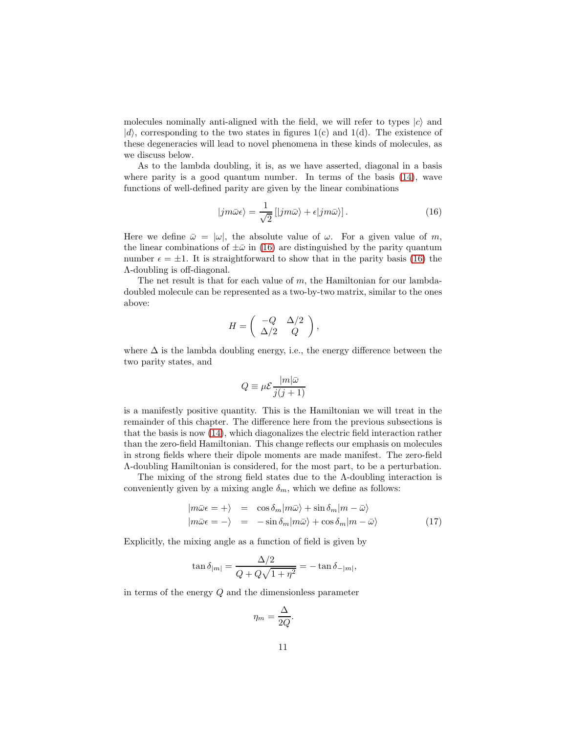molecules nominally anti-aligned with the field, we will refer to types  $|c\rangle$  and  $|d\rangle$ , corresponding to the two states in figures 1(c) and 1(d). The existence of these degeneracies will lead to novel phenomena in these kinds of molecules, as we discuss below.

As to the lambda doubling, it is, as we have asserted, diagonal in a basis where parity is a good quantum number. In terms of the basis [\(14\)](#page-9-1), wave functions of well-defined parity are given by the linear combinations

<span id="page-10-0"></span>
$$
|jm\bar{\omega}\epsilon\rangle = \frac{1}{\sqrt{2}}[|jm\bar{\omega}\rangle + \epsilon|jm\bar{\omega}\rangle].
$$
 (16)

Here we define  $\bar{\omega} = |\omega|$ , the absolute value of  $\omega$ . For a given value of m, the linear combinations of  $\pm \bar{\omega}$  in [\(16\)](#page-10-0) are distinguished by the parity quantum number  $\epsilon = \pm 1$ . It is straightforward to show that in the parity basis [\(16\)](#page-10-0) the Λ-doubling is off-diagonal.

The net result is that for each value of  $m$ , the Hamiltonian for our lambdadoubled molecule can be represented as a two-by-two matrix, similar to the ones above:

$$
H = \left( \begin{array}{cc} -Q & \Delta/2 \\ \Delta/2 & Q \end{array} \right),
$$

where  $\Delta$  is the lambda doubling energy, i.e., the energy difference between the two parity states, and

$$
Q \equiv \mu \mathcal{E} \frac{|m|\bar{\omega}}{j(j+1)}
$$

is a manifestly positive quantity. This is the Hamiltonian we will treat in the remainder of this chapter. The difference here from the previous subsections is that the basis is now [\(14\)](#page-9-1), which diagonalizes the electric field interaction rather than the zero-field Hamiltonian. This change reflects our emphasis on molecules in strong fields where their dipole moments are made manifest. The zero-field Λ-doubling Hamiltonian is considered, for the most part, to be a perturbation.

The mixing of the strong field states due to the Λ-doubling interaction is conveniently given by a mixing angle  $\delta_m$ , which we define as follows:

<span id="page-10-1"></span>
$$
|m\bar{\omega}\epsilon = +\rangle = \cos\delta_m |m\bar{\omega}\rangle + \sin\delta_m |m - \bar{\omega}\rangle
$$
  

$$
|m\bar{\omega}\epsilon = -\rangle = -\sin\delta_m |m\bar{\omega}\rangle + \cos\delta_m |m - \bar{\omega}\rangle
$$
 (17)

Explicitly, the mixing angle as a function of field is given by

$$
\tan \delta_{|m|} = \frac{\Delta/2}{Q + Q\sqrt{1 + \eta^2}} = -\tan \delta_{-|m|},
$$

in terms of the energy Q and the dimensionless parameter

$$
\eta_m = \frac{\Delta}{2Q}.
$$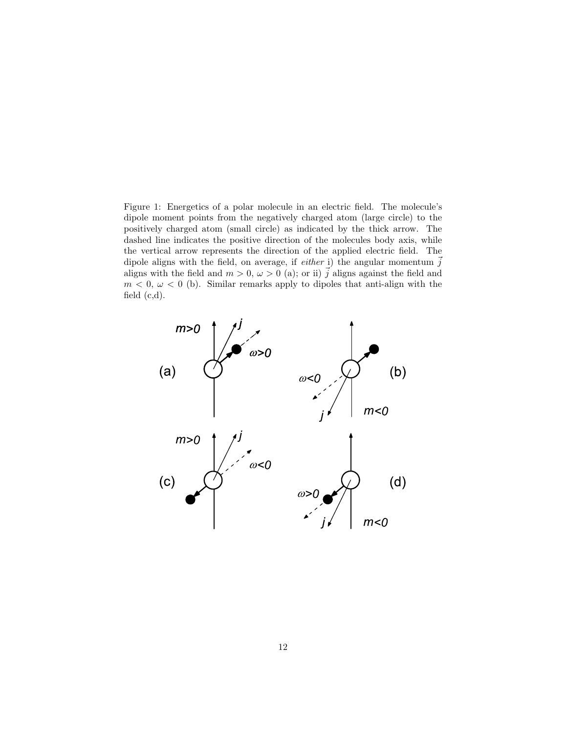Figure 1: Energetics of a polar molecule in an electric field. The molecule's dipole moment points from the negatively charged atom (large circle) to the positively charged atom (small circle) as indicated by the thick arrow. The dashed line indicates the positive direction of the molecules body axis, while the vertical arrow represents the direction of the applied electric field. The dipole aligns with the field, on average, if *either* i) the angular momentum  $\vec{j}$ aligns with the field and  $m > 0$ ,  $\omega > 0$  (a); or ii)  $\vec{j}$  aligns against the field and  $m < 0, \omega < 0$  (b). Similar remarks apply to dipoles that anti-align with the field  $(c,d)$ .

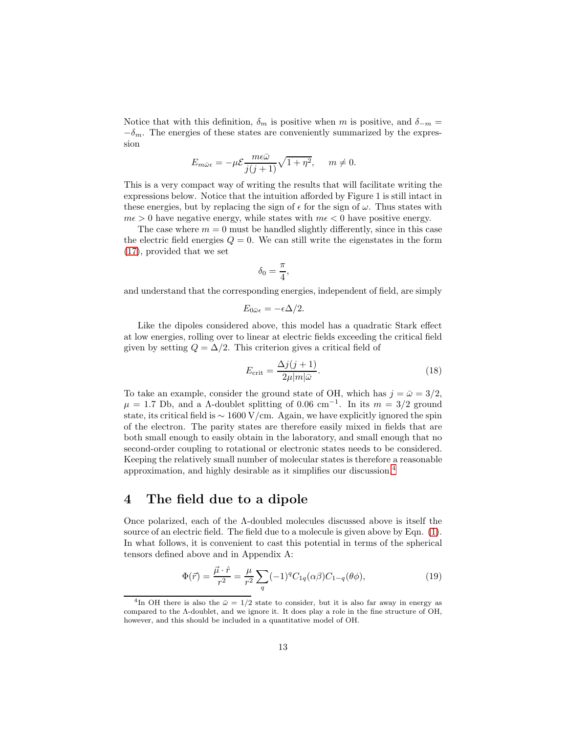Notice that with this definition,  $\delta_m$  is positive when m is positive, and  $\delta_{-m}$  =  $-\delta_m$ . The energies of these states are conveniently summarized by the expression

$$
E_{m\bar{\omega}\epsilon} = -\mu \mathcal{E} \frac{m\epsilon\bar{\omega}}{j(j+1)} \sqrt{1+\eta^2}, \quad m \neq 0.
$$

This is a very compact way of writing the results that will facilitate writing the expressions below. Notice that the intuition afforded by Figure 1 is still intact in these energies, but by replacing the sign of  $\epsilon$  for the sign of  $\omega$ . Thus states with  $m\epsilon > 0$  have negative energy, while states with  $m\epsilon < 0$  have positive energy.

The case where  $m = 0$  must be handled slightly differently, since in this case the electric field energies  $Q = 0$ . We can still write the eigenstates in the form [\(17\)](#page-10-1), provided that we set

$$
\delta_0 = \frac{\pi}{4},
$$

and understand that the corresponding energies, independent of field, are simply

$$
E_{0\bar{\omega}\epsilon} = -\epsilon \Delta/2.
$$

Like the dipoles considered above, this model has a quadratic Stark effect at low energies, rolling over to linear at electric fields exceeding the critical field given by setting  $Q = \Delta/2$ . This criterion gives a critical field of

$$
E_{\rm crit} = \frac{\Delta j(j+1)}{2\mu |m|\bar{\omega}}.\tag{18}
$$

To take an example, consider the ground state of OH, which has  $j = \bar{\omega} = 3/2$ ,  $\mu = 1.7$  Db, and a  $\Lambda$ -doublet splitting of 0.06 cm<sup>-1</sup>. In its  $m = 3/2$  ground state, its critical field is  $\sim 1600 \text{ V/cm}$ . Again, we have explicitly ignored the spin of the electron. The parity states are therefore easily mixed in fields that are both small enough to easily obtain in the laboratory, and small enough that no second-order coupling to rotational or electronic states needs to be considered. Keeping the relatively small number of molecular states is therefore a reasonable approximation, and highly desirable as it simplifies our discussion.[4](#page-12-0)

### 4 The field due to a dipole

Once polarized, each of the Λ-doubled molecules discussed above is itself the source of an electric field. The field due to a molecule is given above by Eqn. [\(1\)](#page-2-0). In what follows, it is convenient to cast this potential in terms of the spherical tensors defined above and in Appendix A:

<span id="page-12-1"></span>
$$
\Phi(\vec{r}) = \frac{\vec{\mu} \cdot \hat{r}}{r^2} = \frac{\mu}{r^2} \sum_{q} (-1)^q C_{1q}(\alpha \beta) C_{1-q}(\theta \phi), \qquad (19)
$$

<span id="page-12-0"></span><sup>&</sup>lt;sup>4</sup>In OH there is also the  $\bar{\omega} = 1/2$  state to consider, but it is also far away in energy as compared to the Λ-doublet, and we ignore it. It does play a role in the fine structure of OH, however, and this should be included in a quantitative model of OH.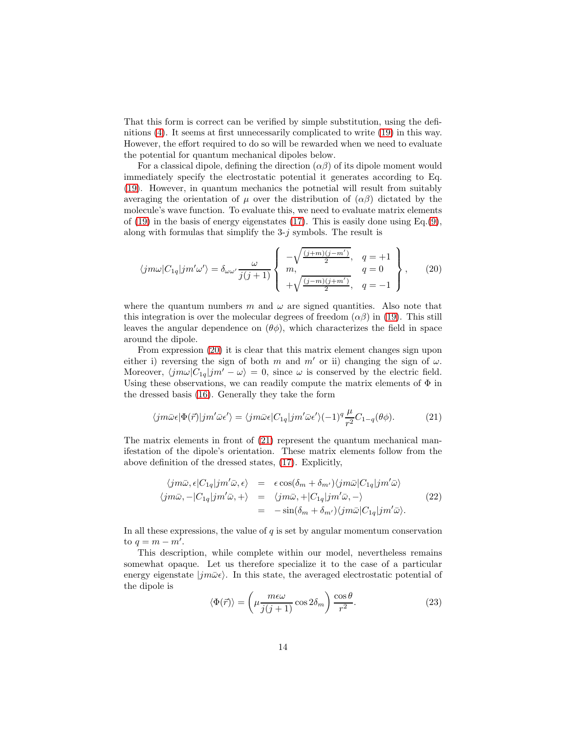That this form is correct can be verified by simple substitution, using the definitions [\(4\)](#page-3-0). It seems at first unnecessarily complicated to write [\(19\)](#page-12-1) in this way. However, the effort required to do so will be rewarded when we need to evaluate the potential for quantum mechanical dipoles below.

For a classical dipole, defining the direction  $(\alpha\beta)$  of its dipole moment would immediately specify the electrostatic potential it generates according to Eq. [\(19\)](#page-12-1). However, in quantum mechanics the potnetial will result from suitably averaging the orientation of  $\mu$  over the distribution of  $(\alpha\beta)$  dictated by the molecule's wave function. To evaluate this, we need to evaluate matrix elements of  $(19)$  in the basis of energy eigenstates  $(17)$ . This is easily done using Eq. $(9)$ , along with formulas that simplify the  $3-i$  symbols. The result is

<span id="page-13-0"></span>
$$
\langle jm\omega|C_{1q}|jm'\omega'\rangle = \delta_{\omega\omega'}\frac{\omega}{j(j+1)}\left\{\begin{array}{c}\n-\sqrt{\frac{(j+m)(j-m')}{2}}, & q=+1 \\
m, & q=0 \\
+\sqrt{\frac{(j-m)(j+m')}{2}}, & q=-1\n\end{array}\right\},\qquad(20)
$$

where the quantum numbers m and  $\omega$  are signed quantities. Also note that this integration is over the molecular degrees of freedom  $(\alpha\beta)$  in [\(19\)](#page-12-1). This still leaves the angular dependence on  $(\theta \phi)$ , which characterizes the field in space around the dipole.

From expression [\(20\)](#page-13-0) it is clear that this matrix element changes sign upon either i) reversing the sign of both m and m' or ii) changing the sign of  $\omega$ . Moreover,  $\langle jm\omega|C_{1q}|jm' - \omega \rangle = 0$ , since  $\omega$  is conserved by the electric field. Using these observations, we can readily compute the matrix elements of  $\Phi$  in the dressed basis [\(16\)](#page-10-0). Generally they take the form

<span id="page-13-1"></span>
$$
\langle jm\bar{\omega}\epsilon|\Phi(\vec{r})|jm'\bar{\omega}\epsilon'\rangle = \langle jm\bar{\omega}\epsilon|C_{1q}|jm'\bar{\omega}\epsilon'\rangle(-1)^{q}\frac{\mu}{r^2}C_{1-q}(\theta\phi). \tag{21}
$$

The matrix elements in front of [\(21\)](#page-13-1) represent the quantum mechanical manifestation of the dipole's orientation. These matrix elements follow from the above definition of the dressed states, [\(17\)](#page-10-1). Explicitly,

<span id="page-13-3"></span>
$$
\langle jm\bar{\omega}, \epsilon | C_{1q}|jm'\bar{\omega}, \epsilon \rangle = \epsilon \cos(\delta_m + \delta_{m'}) \langle jm\bar{\omega} | C_{1q}|jm'\bar{\omega} \rangle
$$
  

$$
\langle jm\bar{\omega}, -| C_{1q}|jm'\bar{\omega}, + \rangle = \langle jm\bar{\omega}, +| C_{1q}|jm'\bar{\omega}, - \rangle
$$
  

$$
= -\sin(\delta_m + \delta_{m'}) \langle jm\bar{\omega} | C_{1q}|jm'\bar{\omega} \rangle.
$$
 (22)

In all these expressions, the value of  $q$  is set by angular momentum conservation to  $q = m - m'$ .

This description, while complete within our model, nevertheless remains somewhat opaque. Let us therefore specialize it to the case of a particular energy eigenstate  $|jm\bar{\omega}\epsilon\rangle$ . In this state, the averaged electrostatic potential of the dipole is

<span id="page-13-2"></span>
$$
\langle \Phi(\vec{r}) \rangle = \left( \mu \frac{m \epsilon \omega}{j(j+1)} \cos 2\delta_m \right) \frac{\cos \theta}{r^2}.
$$
 (23)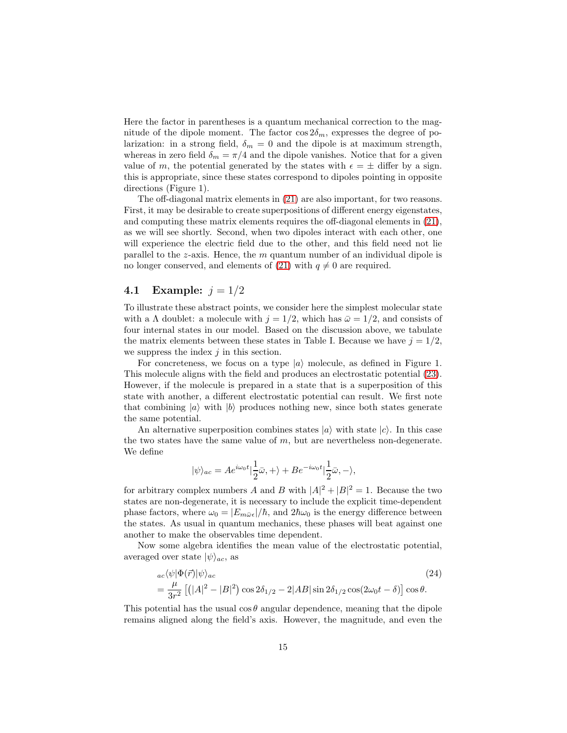Here the factor in parentheses is a quantum mechanical correction to the magnitude of the dipole moment. The factor  $\cos 2\delta_m$ , expresses the degree of polarization: in a strong field,  $\delta_m = 0$  and the dipole is at maximum strength, whereas in zero field  $\delta_m = \pi/4$  and the dipole vanishes. Notice that for a given value of m, the potential generated by the states with  $\epsilon = \pm$  differ by a sign. this is appropriate, since these states correspond to dipoles pointing in opposite directions (Figure 1).

The off-diagonal matrix elements in [\(21\)](#page-13-1) are also important, for two reasons. First, it may be desirable to create superpositions of different energy eigenstates, and computing these matrix elements requires the off-diagonal elements in [\(21\)](#page-13-1), as we will see shortly. Second, when two dipoles interact with each other, one will experience the electric field due to the other, and this field need not lie parallel to the  $z$ -axis. Hence, the  $m$  quantum number of an individual dipole is no longer conserved, and elements of [\(21\)](#page-13-1) with  $q \neq 0$  are required.

#### **4.1** Example:  $j = 1/2$

To illustrate these abstract points, we consider here the simplest molecular state with a  $\Lambda$  doublet: a molecule with  $j = 1/2$ , which has  $\bar{\omega} = 1/2$ , and consists of four internal states in our model. Based on the discussion above, we tabulate the matrix elements between these states in Table I. Because we have  $j = 1/2$ , we suppress the index  $j$  in this section.

For concreteness, we focus on a type  $|a\rangle$  molecule, as defined in Figure 1. This molecule aligns with the field and produces an electrostatic potential [\(23\)](#page-13-2). However, if the molecule is prepared in a state that is a superposition of this state with another, a different electrostatic potential can result. We first note that combining  $|a\rangle$  with  $|b\rangle$  produces nothing new, since both states generate the same potential.

An alternative superposition combines states  $|a\rangle$  with state  $|c\rangle$ . In this case the two states have the same value of  $m$ , but are nevertheless non-degenerate. We define

$$
|\psi\rangle_{ac} = A e^{i\omega_0 t} |\frac{1}{2}\bar{\omega}, +\rangle + B e^{-i\omega_0 t} |\frac{1}{2}\bar{\omega}, -\rangle,
$$

for arbitrary complex numbers A and B with  $|A|^2 + |B|^2 = 1$ . Because the two states are non-degenerate, it is necessary to include the explicit time-dependent phase factors, where  $\omega_0 = |E_{m\bar{\omega}\epsilon}|/\hbar$ , and  $2\hbar\omega_0$  is the energy difference between the states. As usual in quantum mechanics, these phases will beat against one another to make the observables time dependent.

Now some algebra identifies the mean value of the electrostatic potential, averaged over state  $|\psi\rangle_{ac}$ , as

<span id="page-14-0"></span>
$$
{}_{ac}\langle\psi|\Phi(\vec{r})|\psi\rangle_{ac}
$$
\n
$$
= \frac{\mu}{3r^2} \left[ (|A|^2 - |B|^2) \cos 2\delta_{1/2} - 2|AB|\sin 2\delta_{1/2}\cos(2\omega_0 t - \delta) \right] \cos\theta.
$$
\n(24)

This potential has the usual  $\cos \theta$  angular dependence, meaning that the dipole remains aligned along the field's axis. However, the magnitude, and even the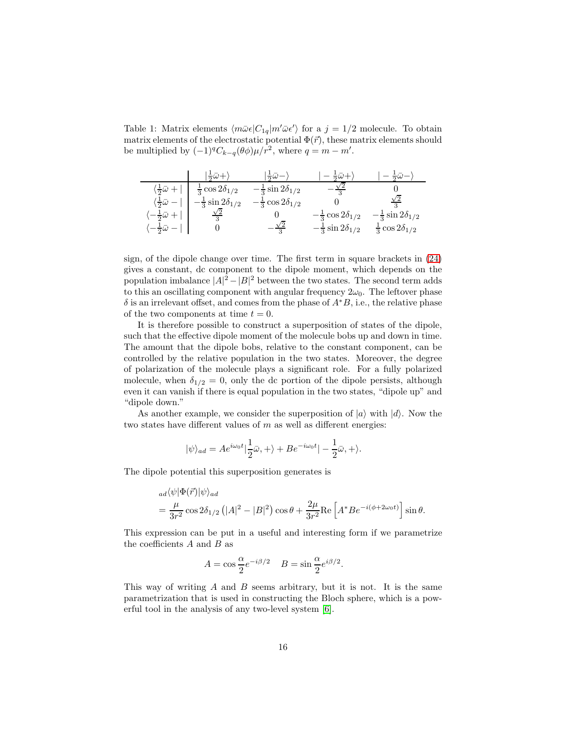Table 1: Matrix elements  $\langle m\bar{\omega}\epsilon |C_{1q}|m'\bar{\omega}\epsilon'\rangle$  for a  $j = 1/2$  molecule. To obtain matrix elements of the electrostatic potential  $\Phi(\vec{r})$ , these matrix elements should be multiplied by  $(-1)^q C_{k-q}(\theta \phi) \mu / r^2$ , where  $q = m - m'$ .

|                                         | $\ket{\frac{1}{2}\bar{\omega}+}$  | $\frac{1}{2}\overline{\omega}$ $ \rangle$ | $-\frac{1}{2}\bar{\omega}+$      | $-\frac{1}{2}\bar{\omega}$        |
|-----------------------------------------|-----------------------------------|-------------------------------------------|----------------------------------|-----------------------------------|
| $\left(\frac{1}{2}\bar{\omega}+\right)$ | $\frac{1}{3}$ cos $2\delta_{1/2}$ | $-\frac{1}{3}\sin 2\delta_{1/2}$          |                                  |                                   |
| $\langle \frac{1}{2}\bar{\omega} -  $   | $-\frac{1}{3}\sin 2\delta_{1/2}$  | $-\frac{1}{3}\cos 2\delta_{1/2}$          |                                  | $\sqrt{2}$                        |
| $-\frac{1}{2}\bar{\omega} +$            |                                   |                                           | $-\frac{1}{3}\cos 2\delta_{1/2}$ | $-\frac{1}{3}\sin 2\delta_{1/2}$  |
| $\langle -\frac{1}{2}\bar{\omega}- $    |                                   | $\frac{\sqrt{2}}{3}$                      | $-\frac{1}{3}\sin 2\delta_{1/2}$ | $\frac{1}{3}$ cos $2\delta_{1/2}$ |

sign, of the dipole change over time. The first term in square brackets in [\(24\)](#page-14-0) gives a constant, dc component to the dipole moment, which depends on the population imbalance  $|A|^2 - |B|^2$  between the two states. The second term adds to this an oscillating component with angular frequency  $2\omega_0$ . The leftover phase  $\delta$  is an irrelevant offset, and comes from the phase of  $A<sup>*</sup>B$ , i.e., the relative phase of the two components at time  $t = 0$ .

It is therefore possible to construct a superposition of states of the dipole, such that the effective dipole moment of the molecule bobs up and down in time. The amount that the dipole bobs, relative to the constant component, can be controlled by the relative population in the two states. Moreover, the degree of polarization of the molecule plays a significant role. For a fully polarized molecule, when  $\delta_{1/2} = 0$ , only the dc portion of the dipole persists, although even it can vanish if there is equal population in the two states, "dipole up" and "dipole down."

As another example, we consider the superposition of  $|a\rangle$  with  $|d\rangle$ . Now the two states have different values of  $m$  as well as different energies:

$$
|\psi\rangle_{ad}=Ae^{i\omega_0t}|\frac{1}{2}\bar{\omega},+\rangle+Be^{-i\omega_0t}|-\frac{1}{2}\bar{\omega},+\rangle.
$$

The dipole potential this superposition generates is

$$
ad\langle\psi|\Phi(\vec{r})|\psi\rangle_{ad}
$$
  
=  $\frac{\mu}{3r^2}\cos 2\delta_{1/2} (|A|^2 - |B|^2)\cos\theta + \frac{2\mu}{3r^2}\text{Re}\left[A^*Be^{-i(\phi+2\omega_0 t)}\right]\sin\theta.$ 

This expression can be put in a useful and interesting form if we parametrize the coefficients  $A$  and  $B$  as

$$
A = \cos \frac{\alpha}{2} e^{-i\beta/2} \quad B = \sin \frac{\alpha}{2} e^{i\beta/2}.
$$

This way of writing  $A$  and  $B$  seems arbitrary, but it is not. It is the same parametrization that is used in constructing the Bloch sphere, which is a powerful tool in the analysis of any two-level system [\[6\]](#page-29-5).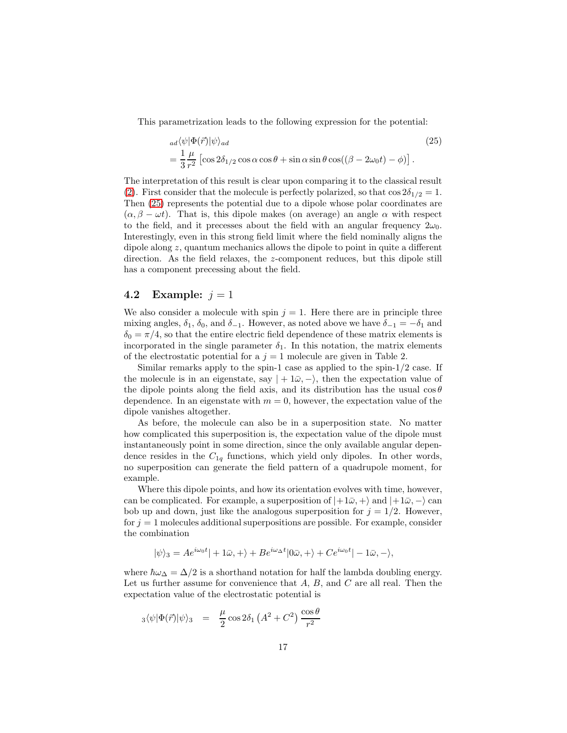This parametrization leads to the following expression for the potential:

<span id="page-16-0"></span>
$$
ad\langle \psi | \Phi(\vec{r}) | \psi \rangle_{ad}
$$
\n
$$
= \frac{1}{3} \frac{\mu}{r^2} \left[ \cos 2\delta_{1/2} \cos \alpha \cos \theta + \sin \alpha \sin \theta \cos((\beta - 2\omega_0 t) - \phi) \right].
$$
\n(25)

The interpretation of this result is clear upon comparing it to the classical result [\(2\)](#page-2-1). First consider that the molecule is perfectly polarized, so that  $\cos 2\delta_{1/2} = 1$ . Then [\(25\)](#page-16-0) represents the potential due to a dipole whose polar coordinates are  $(\alpha, \beta - \omega t)$ . That is, this dipole makes (on average) an angle  $\alpha$  with respect to the field, and it precesses about the field with an angular frequency  $2\omega_0$ . Interestingly, even in this strong field limit where the field nominally aligns the dipole along z, quantum mechanics allows the dipole to point in quite a different direction. As the field relaxes, the z-component reduces, but this dipole still has a component precessing about the field.

#### 4.2 Example:  $j = 1$

We also consider a molecule with spin  $j = 1$ . Here there are in principle three mixing angles,  $\delta_1$ ,  $\delta_0$ , and  $\delta_{-1}$ . However, as noted above we have  $\delta_{-1} = -\delta_1$  and  $\delta_0 = \pi/4$ , so that the entire electric field dependence of these matrix elements is incorporated in the single parameter  $\delta_1$ . In this notation, the matrix elements of the electrostatic potential for a  $j = 1$  molecule are given in Table 2.

Similar remarks apply to the spin-1 case as applied to the spin- $1/2$  case. If the molecule is in an eigenstate, say  $|+1\overline{\omega}, -\rangle$ , then the expectation value of the dipole points along the field axis, and its distribution has the usual  $\cos \theta$ dependence. In an eigenstate with  $m = 0$ , however, the expectation value of the dipole vanishes altogether.

As before, the molecule can also be in a superposition state. No matter how complicated this superposition is, the expectation value of the dipole must instantaneously point in some direction, since the only available angular dependence resides in the  $C_{1q}$  functions, which yield only dipoles. In other words, no superposition can generate the field pattern of a quadrupole moment, for example.

Where this dipole points, and how its orientation evolves with time, however, can be complicated. For example, a superposition of  $|+1\bar{\omega}, +\rangle$  and  $|+1\bar{\omega}, -\rangle$  can bob up and down, just like the analogous superposition for  $j = 1/2$ . However, for  $j = 1$  molecules additional superpositions are possible. For example, consider the combination

$$
|\psi\rangle_3 = Ae^{i\omega_0 t}| + 1\bar{\omega}, +\rangle + Be^{i\omega_0 t}|0\bar{\omega}, +\rangle + Ce^{i\omega_0 t}| - 1\bar{\omega}, -\rangle,
$$

where  $\hbar\omega_{\Delta} = \Delta/2$  is a shorthand notation for half the lambda doubling energy. Let us further assume for convenience that  $A, B$ , and  $C$  are all real. Then the expectation value of the electrostatic potential is

$$
_3\langle \psi|\Phi(\vec{r})|\psi\rangle_3 \quad = \quad \frac{\mu}{2}\cos 2\delta_1\left(A^2+C^2\right)\frac{\cos\theta}{r^2}
$$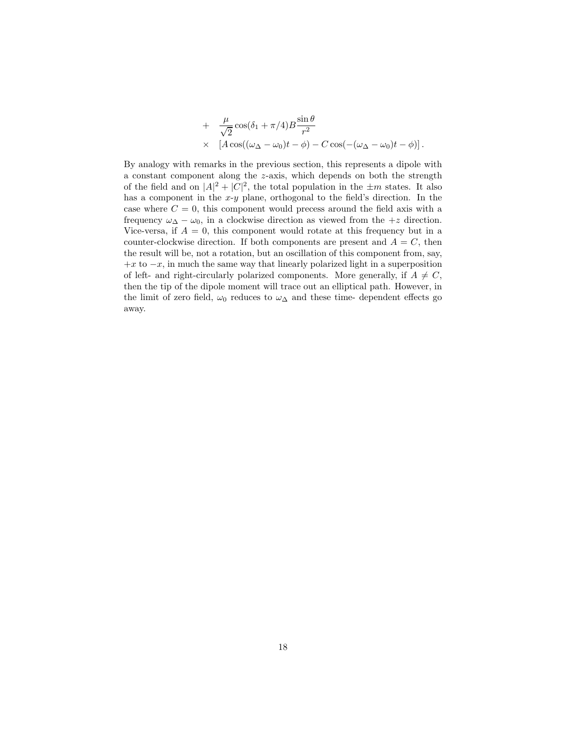+ 
$$
\frac{\mu}{\sqrt{2}} \cos(\delta_1 + \pi/4) B \frac{\sin \theta}{r^2}
$$
  
\n $\times \left[ A \cos((\omega_{\Delta} - \omega_0)t - \phi) - C \cos(-(\omega_{\Delta} - \omega_0)t - \phi) \right].$ 

By analogy with remarks in the previous section, this represents a dipole with a constant component along the z-axis, which depends on both the strength of the field and on  $|A|^2 + |C|^2$ , the total population in the  $\pm m$  states. It also has a component in the  $x-y$  plane, orthogonal to the field's direction. In the case where  $C = 0$ , this component would precess around the field axis with a frequency  $\omega_{\Delta} - \omega_0$ , in a clockwise direction as viewed from the +z direction. Vice-versa, if  $A = 0$ , this component would rotate at this frequency but in a counter-clockwise direction. If both components are present and  $A = C$ , then the result will be, not a rotation, but an oscillation of this component from, say,  $+x$  to  $-x$ , in much the same way that linearly polarized light in a superposition of left- and right-circularly polarized components. More generally, if  $A \neq C$ , then the tip of the dipole moment will trace out an elliptical path. However, in the limit of zero field,  $\omega_0$  reduces to  $\omega_{\Delta}$  and these time- dependent effects go away.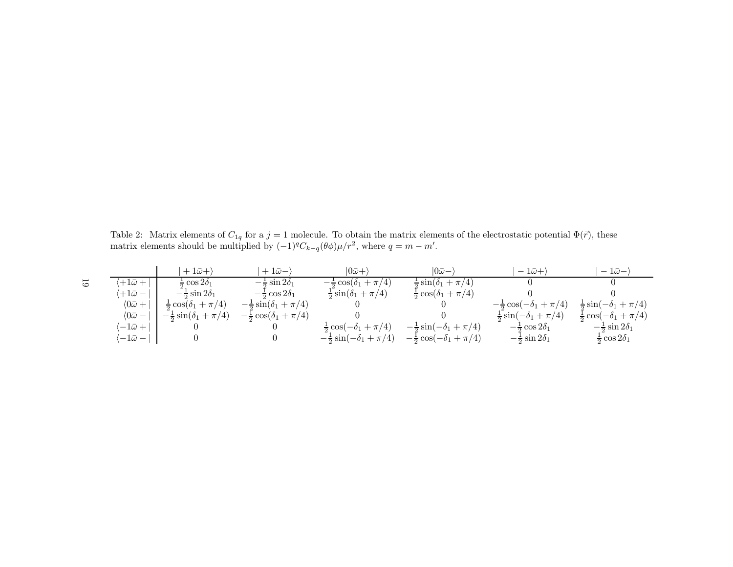Table 2: Matrix elements of  $C_{1q}$  for a  $j = 1$  molecule. To obtain the matrix elements of the electrostatic potential  $\Phi(\vec{r})$ , these matrix elements should be multiplied by  $(-1)^{q}C_{k-q}(\theta \phi)\mu/r^{2}$ , where  $q = m - m'$ .

|   |                            | $+1\bar{\omega}+$                    | $+1\bar{\omega}-$                    | $ 0\bar{\omega}+$                     | $ 0\bar{\omega}-$                     | $-1\bar{\omega}+$                    | $-1\bar{\omega}-$                     |
|---|----------------------------|--------------------------------------|--------------------------------------|---------------------------------------|---------------------------------------|--------------------------------------|---------------------------------------|
| 5 | $+1\bar{\omega} +$         | $\frac{1}{2}$ cos $2\delta_1$        | $-\frac{1}{2}\sin 2\delta_1$         | $-\frac{1}{2}\cos(\delta_1+\pi/4)$    | $\frac{1}{2}\sin(\delta_1+\pi/4)$     |                                      |                                       |
|   | $+1\bar{\omega}-$          | $-\frac{1}{2}\sin 2\delta_1$         | $-\frac{1}{2}\cos 2\delta_1$         | $\frac{1}{2}\sin(\delta_1+\pi/4)$     | $\frac{1}{2}\cos(\delta_1+\pi/4)$     |                                      |                                       |
|   | $\langle 0\bar{\omega}+$   | $\frac{1}{2}\cos(\delta_1+\pi/4)$    | $-\frac{1}{2}\sin(\delta_1 + \pi/4)$ |                                       |                                       | $-\frac{1}{2}\cos(-\delta_1+\pi/4)$  | $\frac{1}{2}\sin(-\delta_1 + \pi/4)$  |
|   | $\langle 0 \bar{\omega} -$ | $-\frac{1}{2}\sin(\delta_1 + \pi/4)$ | $-\frac{1}{2}\cos(\delta_1+\pi/4)$   |                                       |                                       | $\frac{1}{2}\sin(-\delta_1 + \pi/4)$ | $\frac{1}{2} \cos(-\delta_1 + \pi/4)$ |
|   | $-1\bar{\omega} +$         |                                      |                                      | $\frac{1}{2} \cos(-\delta_1 + \pi/4)$ | $-\frac{1}{2}\sin(-\delta_1 + \pi/4)$ | $-\frac{1}{2}\cos 2\delta_1$         | $-\frac{1}{2}\sin 2\delta_1$          |
|   | $\sqrt{-1}\bar{\omega}-$   |                                      |                                      | $-\frac{1}{2}\sin(-\delta_1 + \pi/4)$ | $-\frac{1}{2}\cos(-\delta_1+\pi/4)$   | $-\frac{1}{2}\sin 2\delta_1$         | $\frac{1}{2}$ cos $2\delta_1$         |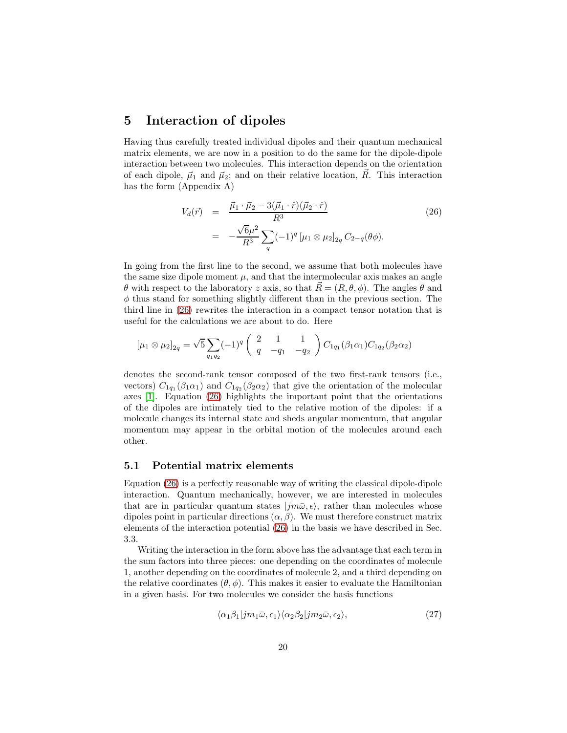### 5 Interaction of dipoles

Having thus carefully treated individual dipoles and their quantum mechanical matrix elements, we are now in a position to do the same for the dipole-dipole interaction between two molecules. This interaction depends on the orientation of each dipole,  $\vec{\mu}_1$  and  $\vec{\mu}_2$ ; and on their relative location,  $\vec{R}$ . This interaction has the form (Appendix A)

<span id="page-19-0"></span>
$$
V_d(\vec{r}) = \frac{\vec{\mu}_1 \cdot \vec{\mu}_2 - 3(\vec{\mu}_1 \cdot \hat{r})(\vec{\mu}_2 \cdot \hat{r})}{R^3}
$$
  
= 
$$
-\frac{\sqrt{6}\mu^2}{R^3} \sum_q (-1)^q [\mu_1 \otimes \mu_2]_{2q} C_{2-q}(\theta \phi).
$$
 (26)

In going from the first line to the second, we assume that both molecules have the same size dipole moment  $\mu$ , and that the intermolecular axis makes an angle θ with respect to the laboratory z axis, so that  $R = (R, θ, φ)$ . The angles θ and  $\phi$  thus stand for something slightly different than in the previous section. The third line in [\(26\)](#page-19-0) rewrites the interaction in a compact tensor notation that is useful for the calculations we are about to do. Here

$$
[\mu_1 \otimes \mu_2]_{2q} = \sqrt{5} \sum_{q_1 q_2} (-1)^q \begin{pmatrix} 2 & 1 & 1 \ q & -q_1 & -q_2 \end{pmatrix} C_{1q_1}(\beta_1 \alpha_1) C_{1q_2}(\beta_2 \alpha_2)
$$

denotes the second-rank tensor composed of the two first-rank tensors (i.e., vectors)  $C_{1q_1}(\beta_1\alpha_1)$  and  $C_{1q_2}(\beta_2\alpha_2)$  that give the orientation of the molecular axes [\[1\]](#page-29-0). Equation [\(26\)](#page-19-0) highlights the important point that the orientations of the dipoles are intimately tied to the relative motion of the dipoles: if a molecule changes its internal state and sheds angular momentum, that angular momentum may appear in the orbital motion of the molecules around each other.

#### 5.1 Potential matrix elements

Equation [\(26\)](#page-19-0) is a perfectly reasonable way of writing the classical dipole-dipole interaction. Quantum mechanically, however, we are interested in molecules that are in particular quantum states  $|jm\bar{\omega}, \epsilon\rangle$ , rather than molecules whose dipoles point in particular directions  $(\alpha, \beta)$ . We must therefore construct matrix elements of the interaction potential [\(26\)](#page-19-0) in the basis we have described in Sec. 3.3.

Writing the interaction in the form above has the advantage that each term in the sum factors into three pieces: one depending on the coordinates of molecule 1, another depending on the coordinates of molecule 2, and a third depending on the relative coordinates  $(\theta, \phi)$ . This makes it easier to evaluate the Hamiltonian in a given basis. For two molecules we consider the basis functions

<span id="page-19-1"></span>
$$
\langle \alpha_1 \beta_1 | jm_1 \bar{\omega}, \epsilon_1 \rangle \langle \alpha_2 \beta_2 | jm_2 \bar{\omega}, \epsilon_2 \rangle, \tag{27}
$$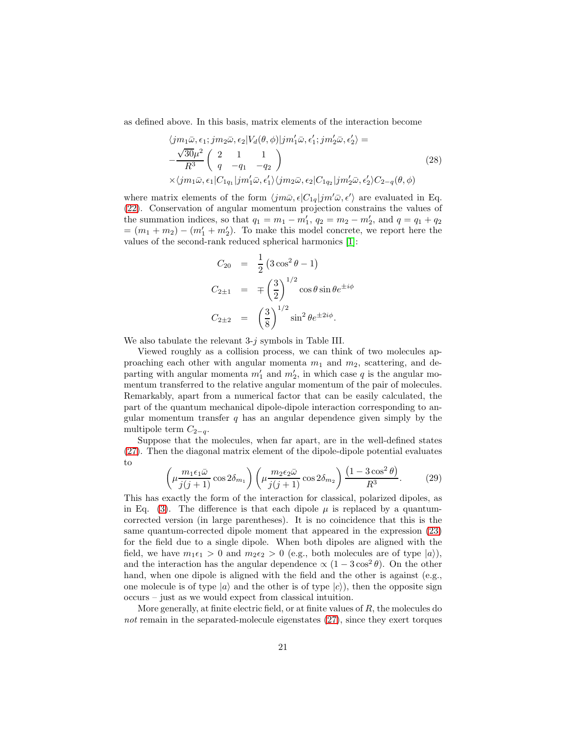as defined above. In this basis, matrix elements of the interaction become

<span id="page-20-0"></span>
$$
\langle jm_1\bar{\omega}, \epsilon_1; jm_2\bar{\omega}, \epsilon_2 | V_d(\theta, \phi) | jm'_1\bar{\omega}, \epsilon'_1; jm'_2\bar{\omega}, \epsilon'_2 \rangle =
$$
  

$$
-\frac{\sqrt{30}\mu^2}{R^3} \begin{pmatrix} 2 & 1 & 1\\ q & -q_1 & -q_2 \end{pmatrix}
$$
  

$$
\times \langle jm_1\bar{\omega}, \epsilon_1 | C_{1q_1} | jm'_1\bar{\omega}, \epsilon'_1 \rangle \langle jm_2\bar{\omega}, \epsilon_2 | C_{1q_2} | jm'_2\bar{\omega}, \epsilon'_2 \rangle C_{2-q}(\theta, \phi)
$$
  
(28)

where matrix elements of the form  $\langle jm\bar{\omega}, \epsilon | C_{1q}|jm'\bar{\omega}, \epsilon' \rangle$  are evaluated in Eq. [\(22\)](#page-13-3). Conservation of angular momentum projection constrains the values of the summation indices, so that  $q_1 = m_1 - m'_1$ ,  $q_2 = m_2 - m'_2$ , and  $q = q_1 + q_2$  $=(m_1+m_2)-(m'_1+m'_2)$ . To make this model concrete, we report here the values of the second-rank reduced spherical harmonics [\[1\]](#page-29-0):

$$
C_{20} = \frac{1}{2} (3 \cos^2 \theta - 1)
$$
  
\n
$$
C_{2\pm 1} = \mp \left(\frac{3}{2}\right)^{1/2} \cos \theta \sin \theta e^{\pm i\phi}
$$
  
\n
$$
C_{2\pm 2} = \left(\frac{3}{8}\right)^{1/2} \sin^2 \theta e^{\pm 2i\phi}.
$$

We also tabulate the relevant 3-j symbols in Table III.

Viewed roughly as a collision process, we can think of two molecules approaching each other with angular momenta  $m_1$  and  $m_2$ , scattering, and departing with angular momenta  $m'_1$  and  $m'_2$ , in which case q is the angular momentum transferred to the relative angular momentum of the pair of molecules. Remarkably, apart from a numerical factor that can be easily calculated, the part of the quantum mechanical dipole-dipole interaction corresponding to angular momentum transfer  $q$  has an angular dependence given simply by the multipole term  $C_{2-q}$ .

Suppose that the molecules, when far apart, are in the well-defined states [\(27\)](#page-19-1). Then the diagonal matrix element of the dipole-dipole potential evaluates to

<span id="page-20-1"></span>
$$
\left(\mu \frac{m_1 \epsilon_1 \bar{\omega}}{j(j+1)} \cos 2\delta_{m_1}\right) \left(\mu \frac{m_2 \epsilon_2 \bar{\omega}}{j(j+1)} \cos 2\delta_{m_2}\right) \frac{\left(1-3 \cos^2 \theta\right)}{R^3}.
$$
 (29)

This has exactly the form of the interaction for classical, polarized dipoles, as in Eq. [\(3\)](#page-2-2). The difference is that each dipole  $\mu$  is replaced by a quantumcorrected version (in large parentheses). It is no coincidence that this is the same quantum-corrected dipole moment that appeared in the expression [\(23\)](#page-13-2) for the field due to a single dipole. When both dipoles are aligned with the field, we have  $m_1\epsilon_1 > 0$  and  $m_2\epsilon_2 > 0$  (e.g., both molecules are of type  $|a\rangle$ ), and the interaction has the angular dependence  $\propto (1 - 3\cos^2 \theta)$ . On the other hand, when one dipole is aligned with the field and the other is against (e.g., one molecule is of type  $|a\rangle$  and the other is of type  $|c\rangle$ , then the opposite sign occurs – just as we would expect from classical intuition.

More generally, at finite electric field, or at finite values of  $R$ , the molecules do not remain in the separated-molecule eigenstates  $(27)$ , since they exert torques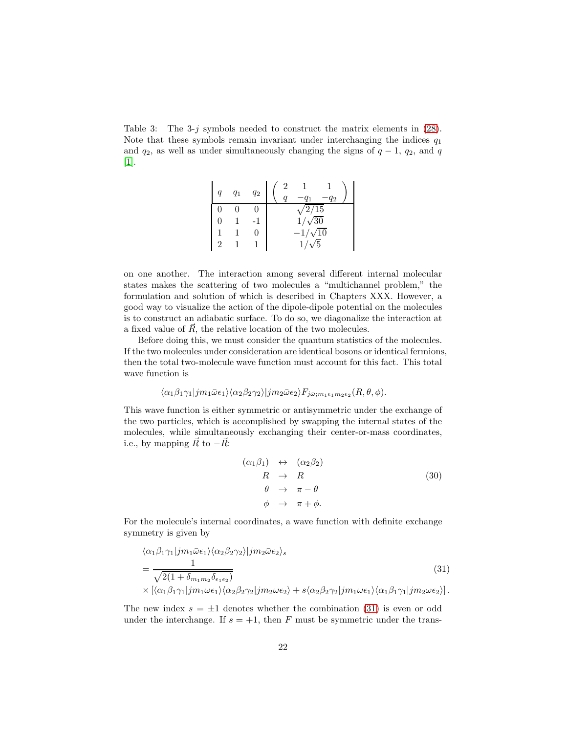Table 3: The 3-j symbols needed to construct the matrix elements in  $(28)$ . Note that these symbols remain invariant under interchanging the indices  $q_1$ and  $q_2$ , as well as under simultaneously changing the signs of  $q-1$ ,  $q_2$ , and q [\[1\]](#page-29-0).

| $q_1$ | $q_2$ | 42                |
|-------|-------|-------------------|
|       |       | $\overline{2/15}$ |
|       |       | $1/\sqrt{30}$     |
|       | 0     | $-1/\sqrt{10}$    |
|       |       | /5<br>1'          |

on one another. The interaction among several different internal molecular states makes the scattering of two molecules a "multichannel problem," the formulation and solution of which is described in Chapters XXX. However, a good way to visualize the action of the dipole-dipole potential on the molecules is to construct an adiabatic surface. To do so, we diagonalize the interaction at a fixed value of  $\overline{R}$ , the relative location of the two molecules.

Before doing this, we must consider the quantum statistics of the molecules. If the two molecules under consideration are identical bosons or identical fermions, then the total two-molecule wave function must account for this fact. This total wave function is

$$
\langle \alpha_1 \beta_1 \gamma_1 | j m_1 \bar{\omega} \epsilon_1 \rangle \langle \alpha_2 \beta_2 \gamma_2 \rangle | j m_2 \bar{\omega} \epsilon_2 \rangle F_{j \bar{\omega}; m_1 \epsilon_1 m_2 \epsilon_2} (R, \theta, \phi).
$$

This wave function is either symmetric or antisymmetric under the exchange of the two particles, which is accomplished by swapping the internal states of the molecules, while simultaneously exchanging their center-or-mass coordinates, i.e., by mapping  $\vec{R}$  to  $-\vec{R}$ :

<span id="page-21-1"></span>
$$
(\alpha_1 \beta_1) \leftrightarrow (\alpha_2 \beta_2) \nR \rightarrow R \n\theta \rightarrow \pi - \theta \n\phi \rightarrow \pi + \phi.
$$
\n(30)

For the molecule's internal coordinates, a wave function with definite exchange symmetry is given by

<span id="page-21-0"></span>
$$
\langle \alpha_1 \beta_1 \gamma_1 | j m_1 \bar{\omega} \epsilon_1 \rangle \langle \alpha_2 \beta_2 \gamma_2 \rangle | j m_2 \bar{\omega} \epsilon_2 \rangle_s
$$
  
= 
$$
\frac{1}{\sqrt{2(1 + \delta_{m_1 m_2} \delta_{\epsilon_1 \epsilon_2})}}
$$

$$
\times [\langle \alpha_1 \beta_1 \gamma_1 | j m_1 \omega \epsilon_1 \rangle \langle \alpha_2 \beta_2 \gamma_2 | j m_2 \omega \epsilon_2 \rangle + s \langle \alpha_2 \beta_2 \gamma_2 | j m_1 \omega \epsilon_1 \rangle \langle \alpha_1 \beta_1 \gamma_1 | j m_2 \omega \epsilon_2 \rangle].
$$

$$
(31)
$$

The new index  $s = \pm 1$  denotes whether the combination [\(31\)](#page-21-0) is even or odd under the interchange. If  $s = +1$ , then F must be symmetric under the trans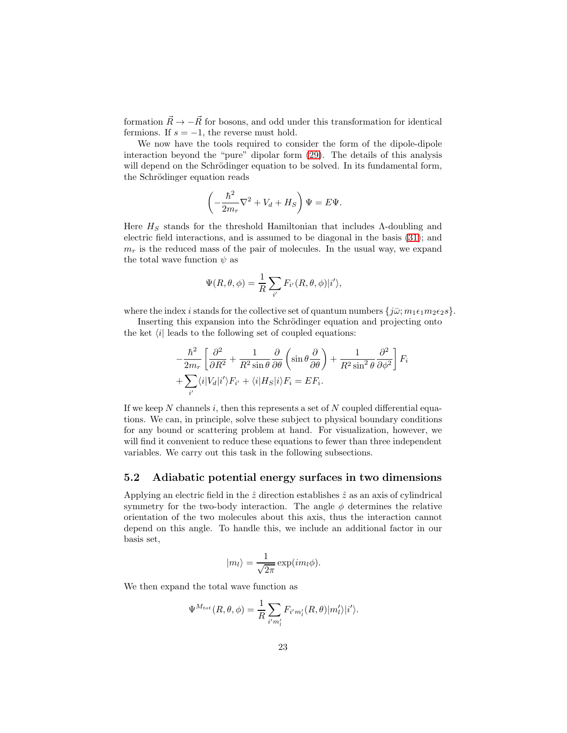formation  $\vec{R} \rightarrow -\vec{R}$  for bosons, and odd under this transformation for identical fermions. If  $s = -1$ , the reverse must hold.

We now have the tools required to consider the form of the dipole-dipole interaction beyond the "pure" dipolar form [\(29\)](#page-20-1). The details of this analysis will depend on the Schrödinger equation to be solved. In its fundamental form, the Schrödinger equation reads

$$
\left(-\frac{\hbar^2}{2m_r}\nabla^2 + V_d + H_S\right)\Psi = E\Psi.
$$

Here  $H_S$  stands for the threshold Hamiltonian that includes  $\Lambda$ -doubling and electric field interactions, and is assumed to be diagonal in the basis [\(31\)](#page-21-0); and  $m<sub>r</sub>$  is the reduced mass of the pair of molecules. In the usual way, we expand the total wave function  $\psi$  as

$$
\Psi(R,\theta,\phi) = \frac{1}{R} \sum_{i'} F_{i'}(R,\theta,\phi) |i'\rangle,
$$

where the index i stands for the collective set of quantum numbers  $\{j\bar{\omega}; m_1\epsilon_1m_2\epsilon_2s\}.$ 

Inserting this expansion into the Schrödinger equation and projecting onto the ket  $\langle i|$  leads to the following set of coupled equations:

$$
-\frac{\hbar^2}{2m_r} \left[ \frac{\partial^2}{\partial R^2} + \frac{1}{R^2 \sin \theta} \frac{\partial}{\partial \theta} \left( \sin \theta \frac{\partial}{\partial \theta} \right) + \frac{1}{R^2 \sin^2 \theta} \frac{\partial^2}{\partial \phi^2} \right] F_i
$$
  
+ 
$$
\sum_{i'} \langle i | V_d | i' \rangle F_{i'} + \langle i | H_S | i \rangle F_i = E F_i.
$$

If we keep N channels i, then this represents a set of N coupled differential equations. We can, in principle, solve these subject to physical boundary conditions for any bound or scattering problem at hand. For visualization, however, we will find it convenient to reduce these equations to fewer than three independent variables. We carry out this task in the following subsections.

#### 5.2 Adiabatic potential energy surfaces in two dimensions

Applying an electric field in the  $\hat{z}$  direction establishes  $\hat{z}$  as an axis of cylindrical symmetry for the two-body interaction. The angle  $\phi$  determines the relative orientation of the two molecules about this axis, thus the interaction cannot depend on this angle. To handle this, we include an additional factor in our basis set,

$$
|m_l\rangle = \frac{1}{\sqrt{2\pi}} \exp(im_l\phi).
$$

We then expand the total wave function as

$$
\Psi^{M_{tot}}(R,\theta,\phi) = \frac{1}{R} \sum_{i'm'_l} F_{i'm'_l}(R,\theta)|m'_l\rangle|i'\rangle.
$$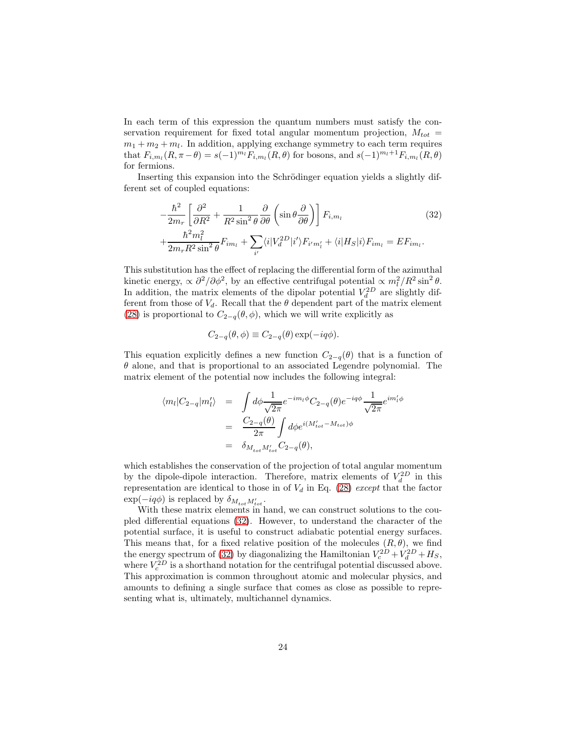In each term of this expression the quantum numbers must satisfy the conservation requirement for fixed total angular momentum projection,  $M_{tot}$  =  $m_1 + m_2 + m_l$ . In addition, applying exchange symmetry to each term requires that  $F_{i,m_l}(R, \pi - \theta) = s(-1)^{m_l} F_{i,m_l}(R, \theta)$  for bosons, and  $s(-1)^{m_l+1} F_{i,m_l}(R, \theta)$ for fermions.

Inserting this expansion into the Schrödinger equation yields a slightly different set of coupled equations:

<span id="page-23-0"></span>
$$
-\frac{\hbar^2}{2m_r} \left[ \frac{\partial^2}{\partial R^2} + \frac{1}{R^2 \sin^2 \theta} \frac{\partial}{\partial \theta} \left( \sin \theta \frac{\partial}{\partial \theta} \right) \right] F_{i,m_l}
$$
\n
$$
+\frac{\hbar^2 m_l^2}{2m_r R^2 \sin^2 \theta} F_{im_l} + \sum_{i'} \langle i | V_d^{2D} | i' \rangle F_{i'm_l'} + \langle i | H_S | i \rangle F_{im_l} = EF_{im_l}.
$$
\n(32)

This substitution has the effect of replacing the differential form of the azimuthal kinetic energy,  $\propto \partial^2/\partial \phi^2$ , by an effective centrifugal potential  $\propto m_l^2/R^2 \sin^2 \theta$ . In addition, the matrix elements of the dipolar potential  $V_d^{2D}$  are slightly different from those of  $V_d$ . Recall that the  $\theta$  dependent part of the matrix element [\(28\)](#page-20-0) is proportional to  $C_{2-q}(\theta, \phi)$ , which we will write explicitly as

$$
C_{2-q}(\theta,\phi) \equiv C_{2-q}(\theta) \exp(-iq\phi).
$$

This equation explicitly defines a new function  $C_{2-q}(\theta)$  that is a function of  $\theta$  alone, and that is proportional to an associated Legendre polynomial. The matrix element of the potential now includes the following integral:

$$
\langle m_l | C_{2-q} | m'_l \rangle = \int d\phi \frac{1}{\sqrt{2\pi}} e^{-im_l \phi} C_{2-q}(\theta) e^{-iq\phi} \frac{1}{\sqrt{2\pi}} e^{im'_l \phi}
$$
  

$$
= \frac{C_{2-q}(\theta)}{2\pi} \int d\phi e^{i(M'_{tot} - M_{tot})\phi}
$$
  

$$
= \delta_{M_{tot}M'_{tot}} C_{2-q}(\theta),
$$

which establishes the conservation of the projection of total angular momentum by the dipole-dipole interaction. Therefore, matrix elements of  $V_d^{2D}$  in this representation are identical to those in of  $V<sub>d</sub>$  in Eq. [\(28\)](#page-20-0) except that the factor  $\exp(-iq\phi)$  is replaced by  $\delta_{M_{tot}M'_{tot}}$ .

With these matrix elements in hand, we can construct solutions to the coupled differential equations [\(32\)](#page-23-0). However, to understand the character of the potential surface, it is useful to construct adiabatic potential energy surfaces. This means that, for a fixed relative position of the molecules  $(R, \theta)$ , we find the energy spectrum of [\(32\)](#page-23-0) by diagonalizing the Hamiltonian  $V_c^{2D} + V_d^{2D} + H_S$ , where  $V_c^{2D}$  is a shorthand notation for the centrifugal potential discussed above. This approximation is common throughout atomic and molecular physics, and amounts to defining a single surface that comes as close as possible to representing what is, ultimately, multichannel dynamics.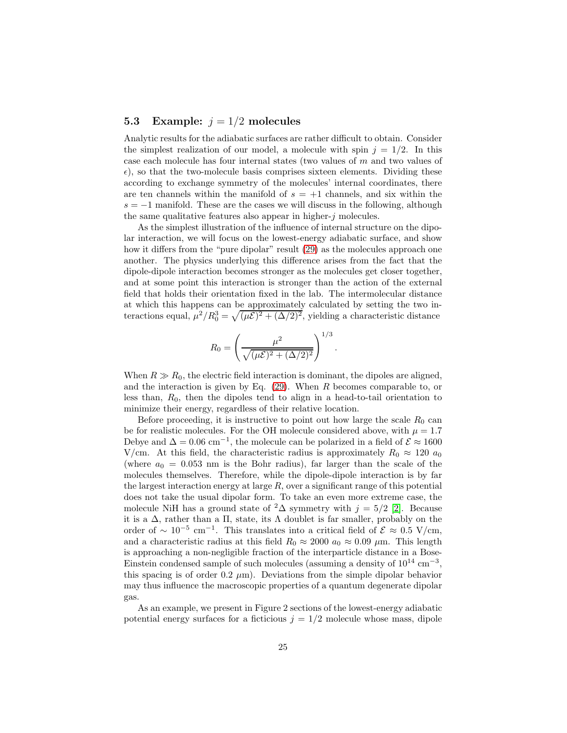### 5.3 Example:  $j = 1/2$  molecules

Analytic results for the adiabatic surfaces are rather difficult to obtain. Consider the simplest realization of our model, a molecule with spin  $j = 1/2$ . In this case each molecule has four internal states (two values of  $m$  and two values of  $\epsilon$ ), so that the two-molecule basis comprises sixteen elements. Dividing these according to exchange symmetry of the molecules' internal coordinates, there are ten channels within the manifold of  $s = +1$  channels, and six within the  $s = -1$  manifold. These are the cases we will discuss in the following, although the same qualitative features also appear in higher- $j$  molecules.

As the simplest illustration of the influence of internal structure on the dipolar interaction, we will focus on the lowest-energy adiabatic surface, and show how it differs from the "pure dipolar" result  $(29)$  as the molecules approach one another. The physics underlying this difference arises from the fact that the dipole-dipole interaction becomes stronger as the molecules get closer together, and at some point this interaction is stronger than the action of the external field that holds their orientation fixed in the lab. The intermolecular distance at which this happens can be approximately calculated by setting the two interactions equal,  $\mu^2/R_0^3 = \sqrt{(\mu \mathcal{E})^2 + (\Delta/2)^2}$ , yielding a characteristic distance

$$
R_0 = \left(\frac{\mu^2}{\sqrt{(\mu \mathcal{E})^2 + (\Delta/2)^2}}\right)^{1/3}.
$$

When  $R \gg R_0$ , the electric field interaction is dominant, the dipoles are aligned, and the interaction is given by Eq.  $(29)$ . When R becomes comparable to, or less than,  $R_0$ , then the dipoles tend to align in a head-to-tail orientation to minimize their energy, regardless of their relative location.

Before proceeding, it is instructive to point out how large the scale  $R_0$  can be for realistic molecules. For the OH molecule considered above, with  $\mu = 1.7$ Debye and  $\Delta = 0.06$  cm<sup>-1</sup>, the molecule can be polarized in a field of  $\mathcal{E} \approx 1600$ V/cm. At this field, the characteristic radius is approximately  $R_0 \approx 120 a_0$ (where  $a_0 = 0.053$  nm is the Bohr radius), far larger than the scale of the molecules themselves. Therefore, while the dipole-dipole interaction is by far the largest interaction energy at large  $R$ , over a significant range of this potential does not take the usual dipolar form. To take an even more extreme case, the molecule NiH has a ground state of  ${}^2\Delta$  symmetry with  $j = 5/2$  [\[2\]](#page-29-1). Because it is a  $\Delta$ , rather than a  $\Pi$ , state, its  $\Lambda$  doublet is far smaller, probably on the order of  $\sim 10^{-5}$  cm<sup>-1</sup>. This translates into a critical field of  $\mathcal{E} \approx 0.5$  V/cm, and a characteristic radius at this field  $R_0 \approx 2000 a_0 \approx 0.09 \mu$ m. This length is approaching a non-negligible fraction of the interparticle distance in a Bose-Einstein condensed sample of such molecules (assuming a density of  $10^{14}$  cm<sup>-3</sup>, this spacing is of order  $0.2 \mu m$ ). Deviations from the simple dipolar behavior may thus influence the macroscopic properties of a quantum degenerate dipolar gas.

As an example, we present in Figure 2 sections of the lowest-energy adiabatic potential energy surfaces for a ficticious  $j = 1/2$  molecule whose mass, dipole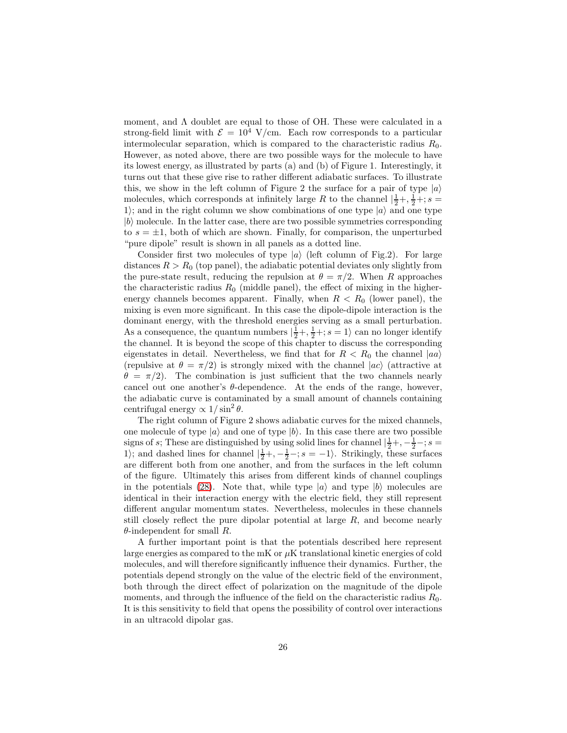moment, and  $\Lambda$  doublet are equal to those of OH. These were calculated in a strong-field limit with  $\mathcal{E} = 10^4$  V/cm. Each row corresponds to a particular intermolecular separation, which is compared to the characteristic radius  $R_0$ . However, as noted above, there are two possible ways for the molecule to have its lowest energy, as illustrated by parts (a) and (b) of Figure 1. Interestingly, it turns out that these give rise to rather different adiabatic surfaces. To illustrate this, we show in the left column of Figure 2 the surface for a pair of type  $|a\rangle$ molecules, which corresponds at infinitely large R to the channel  $\left|\frac{1}{2}+\frac{1}{2}+\frac{1}{5}+\cdots\right|$ 1); and in the right column we show combinations of one type  $|a\rangle$  and one type  $|b\rangle$  molecule. In the latter case, there are two possible symmetries corresponding to  $s = \pm 1$ , both of which are shown. Finally, for comparison, the unperturbed "pure dipole" result is shown in all panels as a dotted line.

Consider first two molecules of type  $|a\rangle$  (left column of Fig.2). For large distances  $R > R_0$  (top panel), the adiabatic potential deviates only slightly from the pure-state result, reducing the repulsion at  $\theta = \pi/2$ . When R approaches the characteristic radius  $R_0$  (middle panel), the effect of mixing in the higherenergy channels becomes apparent. Finally, when  $R < R_0$  (lower panel), the mixing is even more significant. In this case the dipole-dipole interaction is the dominant energy, with the threshold energies serving as a small perturbation. As a consequence, the quantum numbers  $|\frac{1}{2} + \frac{1}{2} + i s = 1\rangle$  can no longer identify the channel. It is beyond the scope of this chapter to discuss the corresponding eigenstates in detail. Nevertheless, we find that for  $R < R_0$  the channel  $|aa\rangle$ (repulsive at  $\theta = \pi/2$ ) is strongly mixed with the channel  $|ac\rangle$  (attractive at  $\theta = \pi/2$ . The combination is just sufficient that the two channels nearly cancel out one another's  $\theta$ -dependence. At the ends of the range, however, the adiabatic curve is contaminated by a small amount of channels containing centrifugal energy  $\propto 1/\sin^2\theta$ .

The right column of Figure 2 shows adiabatic curves for the mixed channels, one molecule of type  $|a\rangle$  and one of type  $|b\rangle$ . In this case there are two possible signs of s; These are distinguished by using solid lines for channel  $\left|\frac{1}{2}+,-\frac{1}{2}-;s\right|$ 1); and dashed lines for channel  $|\frac{1}{2}+,-\frac{1}{2}-;s=-1\rangle$ . Strikingly, these surfaces are different both from one another, and from the surfaces in the left column of the figure. Ultimately this arises from different kinds of channel couplings in the potentials [\(28\)](#page-20-0). Note that, while type  $|a\rangle$  and type  $|b\rangle$  molecules are identical in their interaction energy with the electric field, they still represent different angular momentum states. Nevertheless, molecules in these channels still closely reflect the pure dipolar potential at large R, and become nearly  $\theta$ -independent for small R.

A further important point is that the potentials described here represent large energies as compared to the mK or  $\mu$ K translational kinetic energies of cold molecules, and will therefore significantly influence their dynamics. Further, the potentials depend strongly on the value of the electric field of the environment, both through the direct effect of polarization on the magnitude of the dipole moments, and through the influence of the field on the characteristic radius  $R_0$ . It is this sensitivity to field that opens the possibility of control over interactions in an ultracold dipolar gas.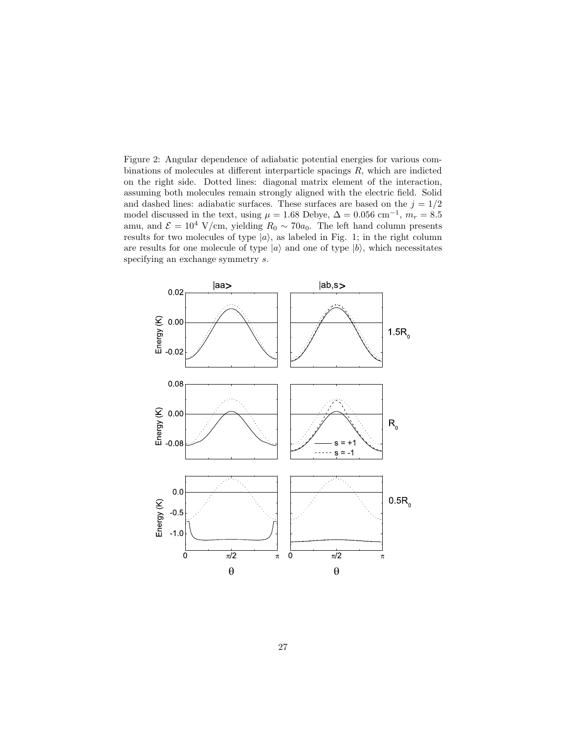Figure 2: Angular dependence of adiabatic potential energies for various combinations of molecules at different interparticle spacings R, which are indicted on the right side. Dotted lines: diagonal matrix element of the interaction, assuming both molecules remain strongly aligned with the electric field. Solid and dashed lines: adiabatic surfaces. These surfaces are based on the  $j = 1/2$ model discussed in the text, using  $\mu = 1.68$  Debye,  $\Delta = 0.056$  cm<sup>-1</sup>,  $m_r = 8.5$ amu, and  $\mathcal{E} = 10^4$  V/cm, yielding  $R_0 \sim 70a_0$ . The left hand column presents results for two molecules of type  $|a\rangle$ , as labeled in Fig. 1; in the right column are results for one molecule of type  $|a\rangle$  and one of type  $|b\rangle$ , which necessitates specifying an exchange symmetry  $s$ .

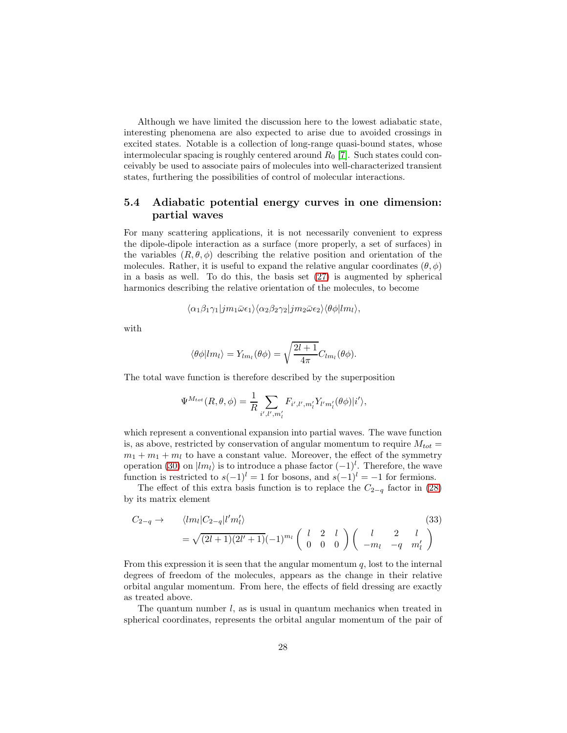Although we have limited the discussion here to the lowest adiabatic state, interesting phenomena are also expected to arise due to avoided crossings in excited states. Notable is a collection of long-range quasi-bound states, whose intermolecular spacing is roughly centered around  $R_0$  [\[7\]](#page-29-6). Such states could conceivably be used to associate pairs of molecules into well-characterized transient states, furthering the possibilities of control of molecular interactions.

### 5.4 Adiabatic potential energy curves in one dimension: partial waves

For many scattering applications, it is not necessarily convenient to express the dipole-dipole interaction as a surface (more properly, a set of surfaces) in the variables  $(R, \theta, \phi)$  describing the relative position and orientation of the molecules. Rather, it is useful to expand the relative angular coordinates  $(\theta, \phi)$ in a basis as well. To do this, the basis set [\(27\)](#page-19-1) is augmented by spherical harmonics describing the relative orientation of the molecules, to become

$$
\langle \alpha_1 \beta_1 \gamma_1 | j m_1 \bar{\omega} \epsilon_1 \rangle \langle \alpha_2 \beta_2 \gamma_2 | j m_2 \bar{\omega} \epsilon_2 \rangle \langle \theta \phi | l m_l \rangle,
$$

with

$$
\langle \theta \phi | lm_l \rangle = Y_{lm_l}(\theta \phi) = \sqrt{\frac{2l+1}{4\pi}} C_{lm_l}(\theta \phi).
$$

The total wave function is therefore described by the superposition

$$
\Psi^{M_{tot}}(R,\theta,\phi) = \frac{1}{R} \sum_{i',l',m'_l} F_{i',l',m'_l} Y_{l'm'_l}(\theta\phi)|i'\rangle,
$$

which represent a conventional expansion into partial waves. The wave function is, as above, restricted by conservation of angular momentum to require  $M_{tot} =$  $m_1 + m_1 + m_l$  to have a constant value. Moreover, the effect of the symmetry operation [\(30\)](#page-21-1) on  $|lm_l\rangle$  is to introduce a phase factor  $(-1)^l$ . Therefore, the wave function is restricted to  $s(-1)^l = 1$  for bosons, and  $s(-1)^l = -1$  for fermions.

The effect of this extra basis function is to replace the  $C_{2-q}$  factor in [\(28\)](#page-20-0) by its matrix element

<span id="page-27-0"></span>
$$
C_{2-q} \rightarrow \langle lm_l|C_{2-q}|l'm'_l\rangle \tag{33}
$$
  
=  $\sqrt{(2l+1)(2l'+1)}(-1)^{m_l}\begin{pmatrix} l & 2 & l \\ 0 & 0 & 0 \end{pmatrix}\begin{pmatrix} l & 2 & l \\ -m_l & -q & m'_l \end{pmatrix}$ 

From this expression it is seen that the angular momentum  $q$ , lost to the internal degrees of freedom of the molecules, appears as the change in their relative orbital angular momentum. From here, the effects of field dressing are exactly as treated above.

The quantum number  $l$ , as is usual in quantum mechanics when treated in spherical coordinates, represents the orbital angular momentum of the pair of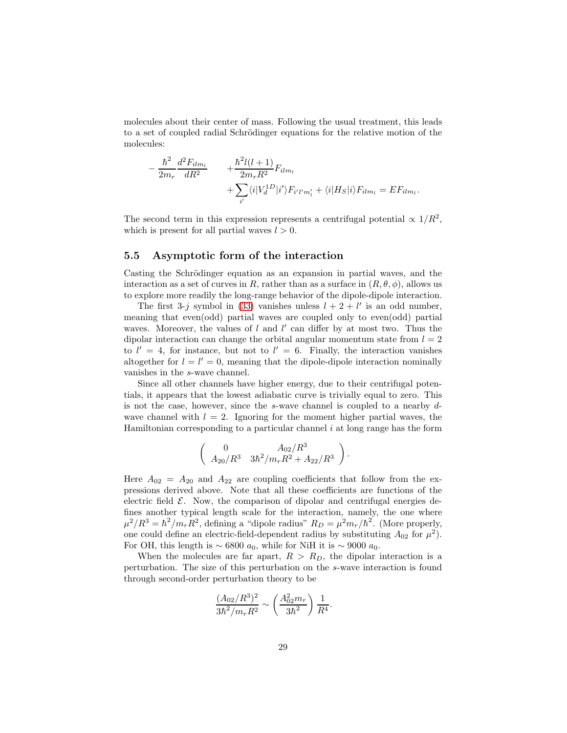molecules about their center of mass. Following the usual treatment, this leads to a set of coupled radial Schrödinger equations for the relative motion of the molecules:

$$
-\frac{\hbar^2}{2m_r}\frac{d^2F_{ilm_l}}{dR^2} + \frac{\hbar^2l(l+1)}{2m_rR^2}F_{ilm_l} + \sum_{i'} \langle i|V_d^{1D}|i'\rangle F_{i'l'm'_l} + \langle i|H_S|i\rangle F_{ilm_l} = EF_{ilm_l}.
$$

The second term in this expression represents a centrifugal potential  $\propto 1/R^2$ , which is present for all partial waves  $l > 0$ .

### 5.5 Asymptotic form of the interaction

Casting the Schrödinger equation as an expansion in partial waves, and the interaction as a set of curves in R, rather than as a surface in  $(R, \theta, \phi)$ , allows us to explore more readily the long-range behavior of the dipole-dipole interaction.

The first 3-j symbol in [\(33\)](#page-27-0) vanishes unless  $l + 2 + l'$  is an odd number, meaning that even(odd) partial waves are coupled only to even(odd) partial waves. Moreover, the values of  $l$  and  $l'$  can differ by at most two. Thus the dipolar interaction can change the orbital angular momentum state from  $l = 2$ to  $l' = 4$ , for instance, but not to  $l' = 6$ . Finally, the interaction vanishes altogether for  $l = l' = 0$ , meaning that the dipole-dipole interaction nominally vanishes in the s-wave channel.

Since all other channels have higher energy, due to their centrifugal potentials, it appears that the lowest adiabatic curve is trivially equal to zero. This is not the case, however, since the s-wave channel is coupled to a nearby dwave channel with  $l = 2$ . Ignoring for the moment higher partial waves, the Hamiltonian corresponding to a particular channel  $i$  at long range has the form

$$
\left(\begin{array}{cc} 0 & A_{02}/R^3 \\ A_{20}/R^3 & 3\hbar^2/m_rR^2 + A_{22}/R^3 \end{array}\right).
$$

Here  $A_{02} = A_{20}$  and  $A_{22}$  are coupling coefficients that follow from the expressions derived above. Note that all these coefficients are functions of the electric field  $\mathcal{E}$ . Now, the comparison of dipolar and centrifugal energies defines another typical length scale for the interaction, namely, the one where  $\mu^2/R^3 = \hbar^2/m_r R^2$ , defining a "dipole radius"  $R_D = \mu^2 m_r/\hbar^2$ . (More properly, one could define an electric-field-dependent radius by substituting  $A_{02}$  for  $\mu^2$ ). For OH, this length is  $\sim$  6800  $a_0$ , while for NiH it is  $\sim$  9000  $a_0$ .

When the molecules are far apart,  $R > R_D$ , the dipolar interaction is a perturbation. The size of this perturbation on the s-wave interaction is found through second-order perturbation theory to be

$$
\frac{(A_{02}/R^3)^2}{3\hbar^2/m_rR^2} \sim \left(\frac{A_{02}^2m_r}{3\hbar^2}\right)\frac{1}{R^4}.
$$